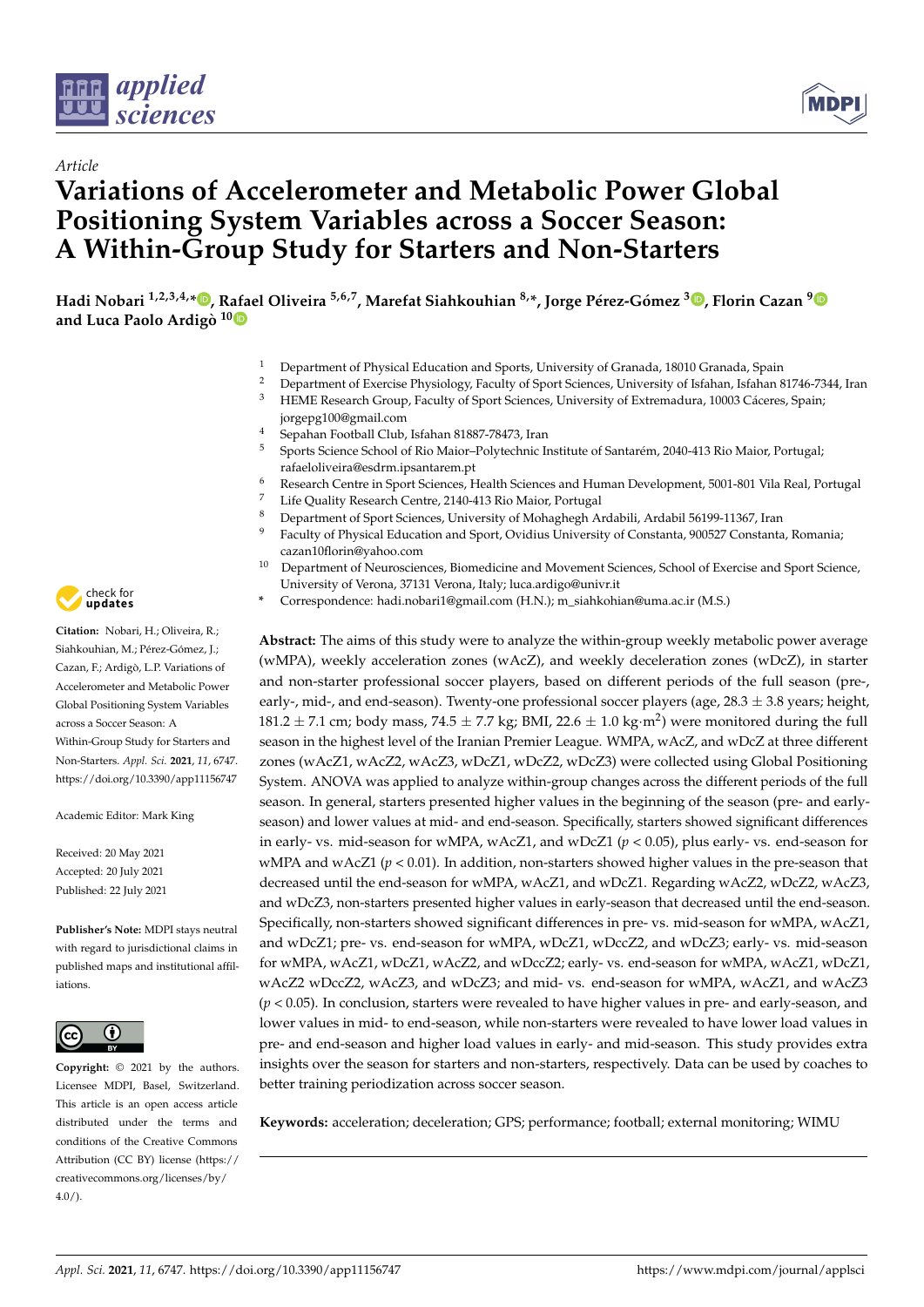



# *Article* **Variations of Accelerometer and Metabolic Power Global Positioning System Variables across a Soccer Season: A Within-Group Study for Starters and Non-Starters**

Hadi Nobari <sup>1[,](https://orcid.org/0000-0002-4054-9132)2,3,4,</sup>\*®, Rafael Oliveira <sup>5,6,7</sup>, Marefat Siahkouhian <sup>8,</sup>\*, Jorge Pérez-Gómez <sup>3</sup>®, Florin Cazan <sup>[9](https://orcid.org/0000-0002-9624-2666)</sup> **and Luca Paolo Ardigò 1[0](https://orcid.org/0000-0001-7677-5070)**

- <sup>1</sup> Department of Physical Education and Sports, University of Granada, 18010 Granada, Spain<br><sup>2</sup> Department of Evergies Physiology, Faculty of Sport Sciences, University of Johann Johann S
- <sup>2</sup> Department of Exercise Physiology, Faculty of Sport Sciences, University of Isfahan, Isfahan 81746-7344, Iran<br><sup>3</sup> HEME Becearch Crown, Faculty of Sport Sciences, University of Extremadure, 10003 Cácares, Spain
- <sup>3</sup> HEME Research Group, Faculty of Sport Sciences, University of Extremadura, 10003 Cáceres, Spain; jorgepg100@gmail.com
- <sup>4</sup> Sepahan Football Club, Isfahan 81887-78473, Iran<br><sup>5</sup> Sports Science School of Rio Major, Polytechnic Is
- <sup>5</sup> Sports Science School of Rio Maior–Polytechnic Institute of Santarém, 2040-413 Rio Maior, Portugal; rafaeloliveira@esdrm.ipsantarem.pt
- <sup>6</sup> Research Centre in Sport Sciences, Health Sciences and Human Development, 5001-801 Vila Real, Portugal
- <sup>7</sup> Life Quality Research Centre, 2140-413 Rio Maior, Portugal
- <sup>8</sup> Department of Sport Sciences, University of Mohaghegh Ardabili, Ardabil 56199-11367, Iran
- Faculty of Physical Education and Sport, Ovidius University of Constanta, 900527 Constanta, Romania; cazan10florin@yahoo.com
- <sup>10</sup> Department of Neurosciences, Biomedicine and Movement Sciences, School of Exercise and Sport Science, University of Verona, 37131 Verona, Italy; luca.ardigo@univr.it
- **\*** Correspondence: hadi.nobari1@gmail.com (H.N.); m\_siahkohian@uma.ac.ir (M.S.)

**Abstract:** The aims of this study were to analyze the within-group weekly metabolic power average (wMPA), weekly acceleration zones (wAcZ), and weekly deceleration zones (wDcZ), in starter and non-starter professional soccer players, based on different periods of the full season (pre-, early-, mid-, and end-season). Twenty-one professional soccer players (age,  $28.3 \pm 3.8$  years; height, 181.2  $\pm$  7.1 cm; body mass, 74.5  $\pm$  7.7 kg; BMI, 22.6  $\pm$  1.0 kg·m<sup>2</sup>) were monitored during the full season in the highest level of the Iranian Premier League. WMPA, wAcZ, and wDcZ at three different zones (wAcZ1, wAcZ2, wAcZ3, wDcZ1, wDcZ2, wDcZ3) were collected using Global Positioning System. ANOVA was applied to analyze within-group changes across the different periods of the full season. In general, starters presented higher values in the beginning of the season (pre- and earlyseason) and lower values at mid- and end-season. Specifically, starters showed significant differences in early- vs. mid-season for wMPA, wAcZ1, and wDcZ1 (*p* < 0.05), plus early- vs. end-season for wMPA and wAcZ1 (*p* < 0.01). In addition, non-starters showed higher values in the pre-season that decreased until the end-season for wMPA, wAcZ1, and wDcZ1. Regarding wAcZ2, wDcZ2, wAcZ3, and wDcZ3, non-starters presented higher values in early-season that decreased until the end-season. Specifically, non-starters showed significant differences in pre- vs. mid-season for wMPA, wAcZ1, and wDcZ1; pre- vs. end-season for wMPA, wDcZ1, wDccZ2, and wDcZ3; early- vs. mid-season for wMPA, wAcZ1, wDcZ1, wAcZ2, and wDccZ2; early- vs. end-season for wMPA, wAcZ1, wDcZ1, wAcZ2 wDccZ2, wAcZ3, and wDcZ3; and mid- vs. end-season for wMPA, wAcZ1, and wAcZ3 (*p* < 0.05). In conclusion, starters were revealed to have higher values in pre- and early-season, and lower values in mid- to end-season, while non-starters were revealed to have lower load values in pre- and end-season and higher load values in early- and mid-season. This study provides extra insights over the season for starters and non-starters, respectively. Data can be used by coaches to better training periodization across soccer season.

**Keywords:** acceleration; deceleration; GPS; performance; football; external monitoring; WIMU



**Citation:** Nobari, H.; Oliveira, R.; Siahkouhian, M.; Pérez-Gómez, J.; Cazan, F.; Ardigò, L.P. Variations of Accelerometer and Metabolic Power Global Positioning System Variables across a Soccer Season: A Within-Group Study for Starters and Non-Starters. *Appl. Sci.* **2021**, *11*, 6747. <https://doi.org/10.3390/app11156747>

Academic Editor: Mark King

Received: 20 May 2021 Accepted: 20 July 2021 Published: 22 July 2021

**Publisher's Note:** MDPI stays neutral with regard to jurisdictional claims in published maps and institutional affiliations.



**Copyright:** © 2021 by the authors. Licensee MDPI, Basel, Switzerland. This article is an open access article distributed under the terms and conditions of the Creative Commons Attribution (CC BY) license (https:/[/](https://creativecommons.org/licenses/by/4.0/) [creativecommons.org/licenses/by/](https://creativecommons.org/licenses/by/4.0/)  $4.0/$ ).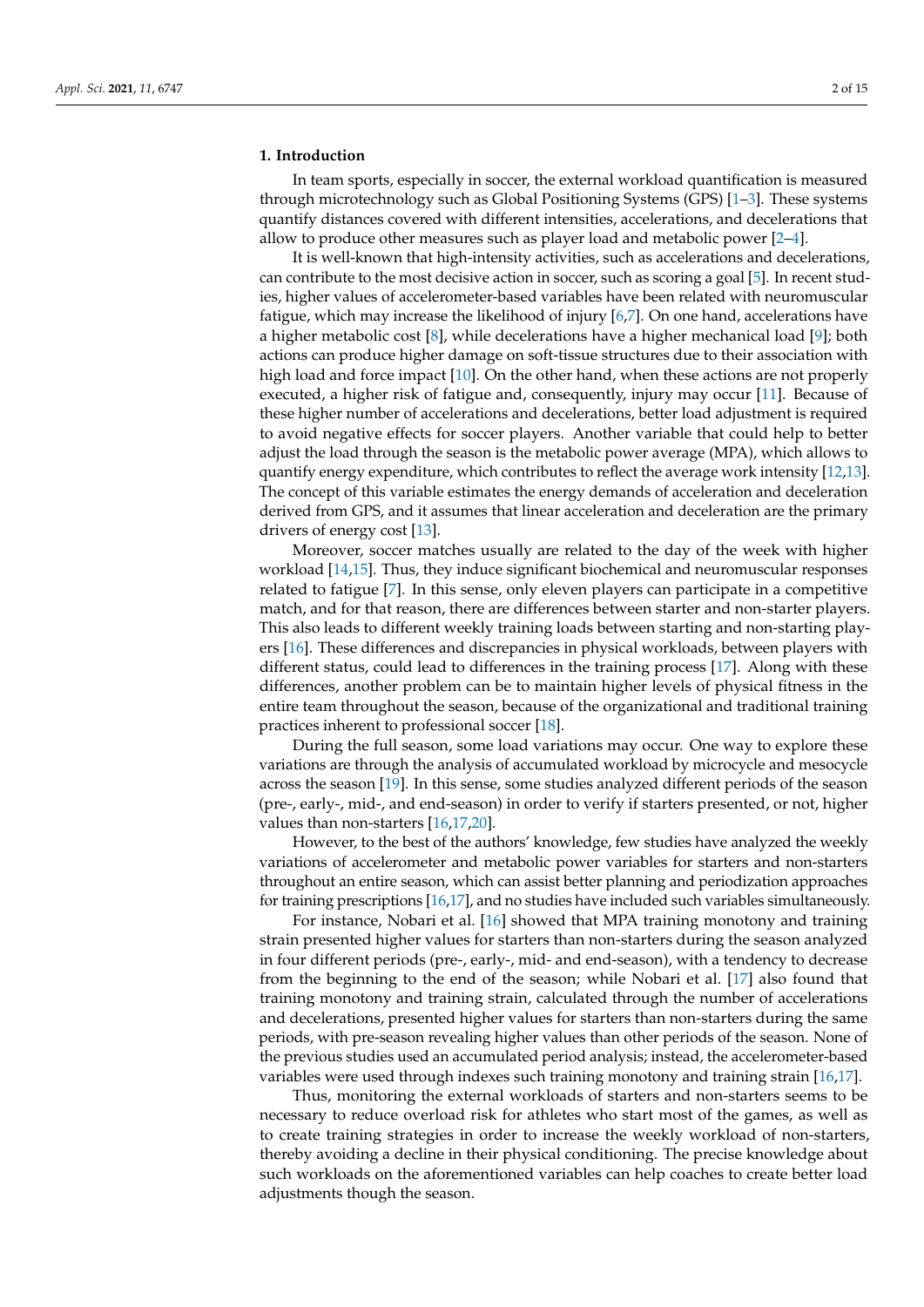#### **1. Introduction**

In team sports, especially in soccer, the external workload quantification is measured through microtechnology such as Global Positioning Systems (GPS) [\[1–](#page-13-0)[3\]](#page-13-1). These systems quantify distances covered with different intensities, accelerations, and decelerations that allow to produce other measures such as player load and metabolic power [\[2](#page-13-2)[–4\]](#page-13-3).

It is well-known that high-intensity activities, such as accelerations and decelerations, can contribute to the most decisive action in soccer, such as scoring a goal [\[5\]](#page-13-4). In recent studies, higher values of accelerometer-based variables have been related with neuromuscular fatigue, which may increase the likelihood of injury [\[6](#page-13-5)[,7\]](#page-13-6). On one hand, accelerations have a higher metabolic cost [\[8\]](#page-13-7), while decelerations have a higher mechanical load [\[9\]](#page-13-8); both actions can produce higher damage on soft-tissue structures due to their association with high load and force impact [\[10\]](#page-13-9). On the other hand, when these actions are not properly executed, a higher risk of fatigue and, consequently, injury may occur [\[11\]](#page-13-10). Because of these higher number of accelerations and decelerations, better load adjustment is required to avoid negative effects for soccer players. Another variable that could help to better adjust the load through the season is the metabolic power average (MPA), which allows to quantify energy expenditure, which contributes to reflect the average work intensity [\[12](#page-13-11)[,13\]](#page-13-12). The concept of this variable estimates the energy demands of acceleration and deceleration derived from GPS, and it assumes that linear acceleration and deceleration are the primary drivers of energy cost [\[13\]](#page-13-12).

Moreover, soccer matches usually are related to the day of the week with higher workload [\[14,](#page-13-13)[15\]](#page-13-14). Thus, they induce significant biochemical and neuromuscular responses related to fatigue [\[7\]](#page-13-6). In this sense, only eleven players can participate in a competitive match, and for that reason, there are differences between starter and non-starter players. This also leads to different weekly training loads between starting and non-starting players [\[16\]](#page-13-15). These differences and discrepancies in physical workloads, between players with different status, could lead to differences in the training process [\[17\]](#page-13-16). Along with these differences, another problem can be to maintain higher levels of physical fitness in the entire team throughout the season, because of the organizational and traditional training practices inherent to professional soccer [\[18\]](#page-13-17).

During the full season, some load variations may occur. One way to explore these variations are through the analysis of accumulated workload by microcycle and mesocycle across the season [\[19\]](#page-13-18). In this sense, some studies analyzed different periods of the season (pre-, early-, mid-, and end-season) in order to verify if starters presented, or not, higher values than non-starters [\[16](#page-13-15)[,17](#page-13-16)[,20\]](#page-13-19).

However, to the best of the authors' knowledge, few studies have analyzed the weekly variations of accelerometer and metabolic power variables for starters and non-starters throughout an entire season, which can assist better planning and periodization approaches for training prescriptions [\[16](#page-13-15)[,17\]](#page-13-16), and no studies have included such variables simultaneously.

For instance, Nobari et al. [\[16\]](#page-13-15) showed that MPA training monotony and training strain presented higher values for starters than non-starters during the season analyzed in four different periods (pre-, early-, mid- and end-season), with a tendency to decrease from the beginning to the end of the season; while Nobari et al. [\[17\]](#page-13-16) also found that training monotony and training strain, calculated through the number of accelerations and decelerations, presented higher values for starters than non-starters during the same periods, with pre-season revealing higher values than other periods of the season. None of the previous studies used an accumulated period analysis; instead, the accelerometer-based variables were used through indexes such training monotony and training strain [\[16,](#page-13-15)[17\]](#page-13-16).

Thus, monitoring the external workloads of starters and non-starters seems to be necessary to reduce overload risk for athletes who start most of the games, as well as to create training strategies in order to increase the weekly workload of non-starters, thereby avoiding a decline in their physical conditioning. The precise knowledge about such workloads on the aforementioned variables can help coaches to create better load adjustments though the season.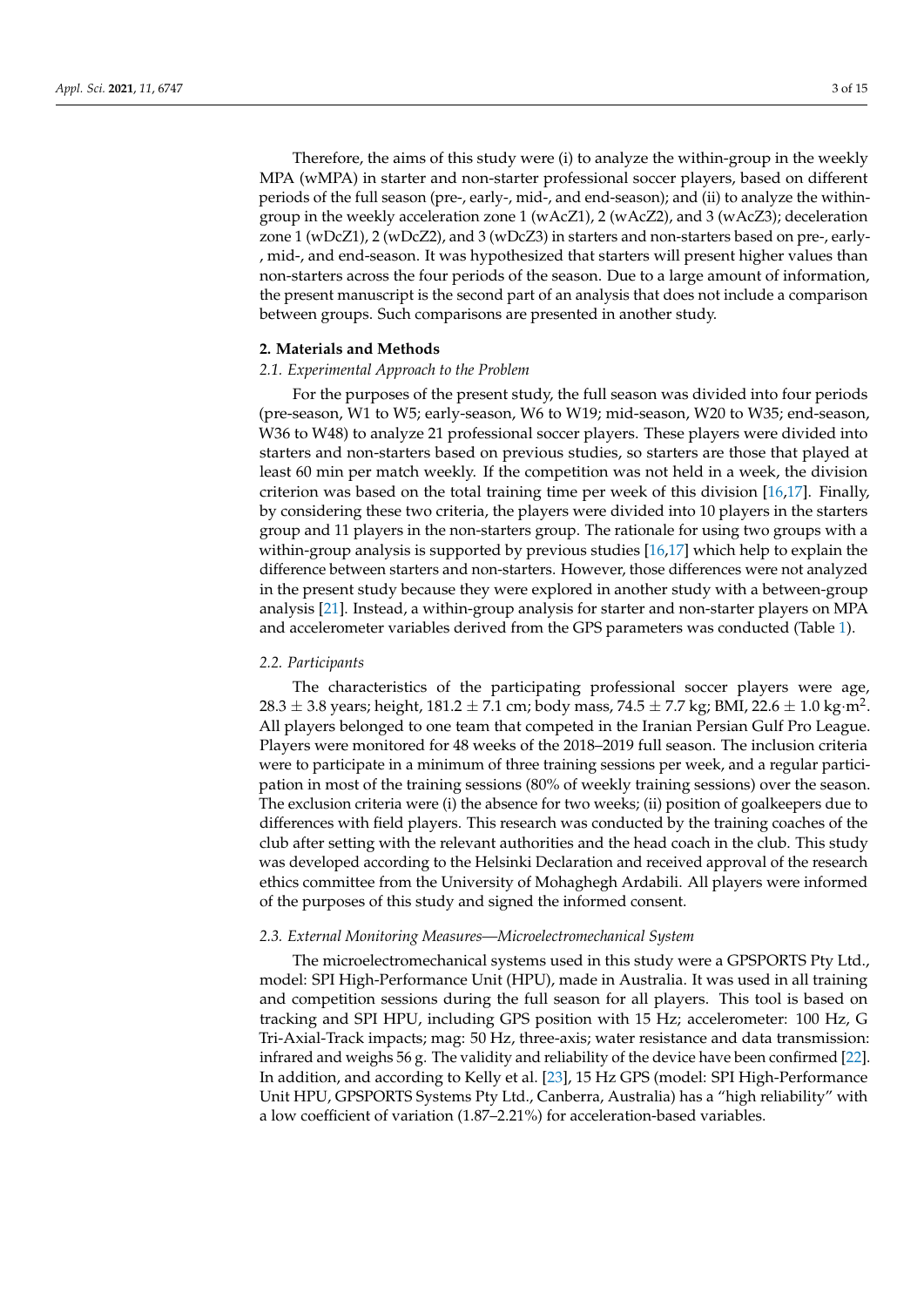Therefore, the aims of this study were (i) to analyze the within-group in the weekly MPA (wMPA) in starter and non-starter professional soccer players, based on different periods of the full season (pre-, early-, mid-, and end-season); and (ii) to analyze the withingroup in the weekly acceleration zone 1 (wAcZ1), 2 (wAcZ2), and 3 (wAcZ3); deceleration zone 1 (wDcZ1), 2 (wDcZ2), and 3 (wDcZ3) in starters and non-starters based on pre-, early- , mid-, and end-season. It was hypothesized that starters will present higher values than non-starters across the four periods of the season. Due to a large amount of information, the present manuscript is the second part of an analysis that does not include a comparison between groups. Such comparisons are presented in another study.

### **2. Materials and Methods**

# *2.1. Experimental Approach to the Problem*

For the purposes of the present study, the full season was divided into four periods (pre-season, W1 to W5; early-season, W6 to W19; mid-season, W20 to W35; end-season, W36 to W48) to analyze 21 professional soccer players. These players were divided into starters and non-starters based on previous studies, so starters are those that played at least 60 min per match weekly. If the competition was not held in a week, the division criterion was based on the total training time per week of this division [\[16](#page-13-15)[,17\]](#page-13-16). Finally, by considering these two criteria, the players were divided into 10 players in the starters group and 11 players in the non-starters group. The rationale for using two groups with a within-group analysis is supported by previous studies [\[16](#page-13-15)[,17\]](#page-13-16) which help to explain the difference between starters and non-starters. However, those differences were not analyzed in the present study because they were explored in another study with a between-group analysis [\[21\]](#page-14-0). Instead, a within-group analysis for starter and non-starter players on MPA and accelerometer variables derived from the GPS parameters was conducted (Table [1\)](#page-3-0).

#### *2.2. Participants*

The characteristics of the participating professional soccer players were age,  $28.3\pm3.8$  years; height, 181.2  $\pm$  7.1 cm; body mass, 74.5  $\pm$  7.7 kg; BMI, 22.6  $\pm$  1.0 kg·m<sup>2</sup>. All players belonged to one team that competed in the Iranian Persian Gulf Pro League. Players were monitored for 48 weeks of the 2018–2019 full season. The inclusion criteria were to participate in a minimum of three training sessions per week, and a regular participation in most of the training sessions (80% of weekly training sessions) over the season. The exclusion criteria were (i) the absence for two weeks; (ii) position of goalkeepers due to differences with field players. This research was conducted by the training coaches of the club after setting with the relevant authorities and the head coach in the club. This study was developed according to the Helsinki Declaration and received approval of the research ethics committee from the University of Mohaghegh Ardabili. All players were informed of the purposes of this study and signed the informed consent.

#### *2.3. External Monitoring Measures—Microelectromechanical System*

The microelectromechanical systems used in this study were a GPSPORTS Pty Ltd., model: SPI High-Performance Unit (HPU), made in Australia. It was used in all training and competition sessions during the full season for all players. This tool is based on tracking and SPI HPU, including GPS position with 15 Hz; accelerometer: 100 Hz, G Tri-Axial-Track impacts; mag: 50 Hz, three-axis; water resistance and data transmission: infrared and weighs 56 g. The validity and reliability of the device have been confirmed [\[22\]](#page-14-1). In addition, and according to Kelly et al. [\[23\]](#page-14-2), 15 Hz GPS (model: SPI High-Performance Unit HPU, GPSPORTS Systems Pty Ltd., Canberra, Australia) has a "high reliability" with a low coefficient of variation (1.87–2.21%) for acceleration-based variables.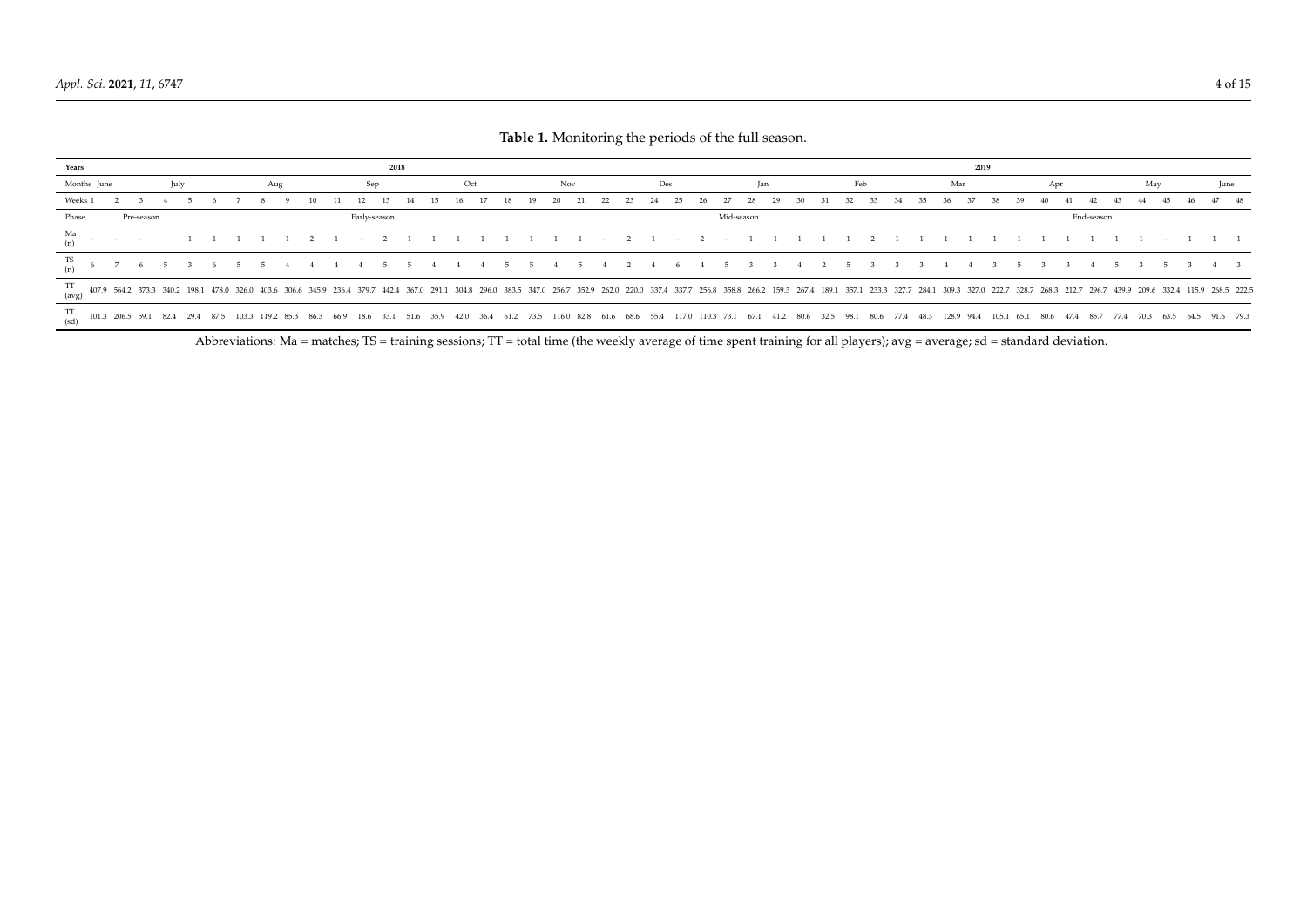| Years                                                                                                                                   | 2018       |      |  |  |  |     |  |      | 2019 |      |              |  |     |     |     |     |                                                                     |    |     |                                                                                                                                        |    |            |     |  |  |  |     |     |     |    |      |     |    |    |    |     |     |                |      |      |           |  |                                                                                                                                                                                                                                 |
|-----------------------------------------------------------------------------------------------------------------------------------------|------------|------|--|--|--|-----|--|------|------|------|--------------|--|-----|-----|-----|-----|---------------------------------------------------------------------|----|-----|----------------------------------------------------------------------------------------------------------------------------------------|----|------------|-----|--|--|--|-----|-----|-----|----|------|-----|----|----|----|-----|-----|----------------|------|------|-----------|--|---------------------------------------------------------------------------------------------------------------------------------------------------------------------------------------------------------------------------------|
| Months June                                                                                                                             |            | July |  |  |  | Aug |  |      |      |      | Sep.         |  | Oct |     |     | Nov |                                                                     |    | Des |                                                                                                                                        |    |            | Jan |  |  |  | Feb |     |     |    | Mar  |     |    |    |    | Apr |     |                |      |      | May       |  | June                                                                                                                                                                                                                            |
| Weeks 1                                                                                                                                 |            |      |  |  |  |     |  |      |      |      |              |  |     | 18. | 19. | 20  |                                                                     | 23 | 25  |                                                                                                                                        | 27 | 28         | 29  |  |  |  |     | 33. | -34 | 35 | -36. | -37 | 38 | 39 | 40 |     | -41 |                |      | 44   | 45        |  | 47 48                                                                                                                                                                                                                           |
| Phase                                                                                                                                   | Pre-season |      |  |  |  |     |  |      |      |      | Early-season |  |     |     |     |     |                                                                     |    |     |                                                                                                                                        |    | Mid-season |     |  |  |  |     |     |     |    |      |     |    |    |    |     |     | End-season     |      |      |           |  |                                                                                                                                                                                                                                 |
| Ma                                                                                                                                      |            |      |  |  |  |     |  |      |      |      |              |  |     |     |     |     | $1 \quad 1 \quad 1 \quad 1 \quad 1 \quad 1 \quad - \quad 2 \quad 1$ |    |     | $-2$ $-1$                                                                                                                              |    |            |     |  |  |  |     |     |     |    |      |     |    |    |    |     |     |                |      |      |           |  |                                                                                                                                                                                                                                 |
| TS                                                                                                                                      |            |      |  |  |  |     |  |      |      |      |              |  |     |     |     |     |                                                                     |    |     | 4 4 4 5 5 4 5 4 2 4 6 4 5 3                                                                                                            |    |            |     |  |  |  |     |     |     |    |      |     |    |    |    |     |     |                |      |      |           |  |                                                                                                                                                                                                                                 |
| $\begin{array}{cccccc} \text{TT} & 407.9 & 564.2 & 373.3 & 340.2 & 198.1 & 478.0 & 326.0 & 403.6 & 306.6 \\ \text{(avg)} & \end{array}$ |            |      |  |  |  |     |  |      |      |      |              |  |     |     |     |     |                                                                     |    |     |                                                                                                                                        |    |            |     |  |  |  |     |     |     |    |      |     |    |    |    |     |     |                |      |      |           |  | 345.9 236.4 379.7 442.4 367.0 291.1 304.8 296.0 383.5 347.0 256.7 352.9 262.0 220.0 337.4 337.7 256.8 358.8 266.2 159.3 267.4 189.1 357.1 233.3 327.7 284.1 309.3 327.0 222.7 328.7 284.3 212.7 296.7 439.9 209.6 332.4 115.9 2 |
| $^{11}_{(sd)}$ 101.3 206.5 59.1 82.4 29.4 87.5 103.3 119.2 85.3                                                                         |            |      |  |  |  |     |  | 86.3 | 66.9 | 18.6 | 33.1         |  |     |     |     |     |                                                                     |    |     | 51.6 35.9 42.0 36.4 61.2 73.5 116.0 82.8 61.6 68.6 55.4 117.0 110.3 73.1 67.1 41.2 80.6 32.5 98.1 80.6 77.4 48.3 128.9 94.4 105.1 65.1 |    |            |     |  |  |  |     |     |     |    |      |     |    |    |    |     |     | 80.6 47.4 85.7 | 77.4 | 70.3 | 63.5 64.5 |  | 91.6 79.3                                                                                                                                                                                                                       |

**Table 1.** Monitoring the periods of the full season.

<span id="page-3-0"></span>Abbreviations: Ma = matches; TS = training sessions; TT = total time (the weekly average of time spent training for all players); avg = average; sd = standard deviation.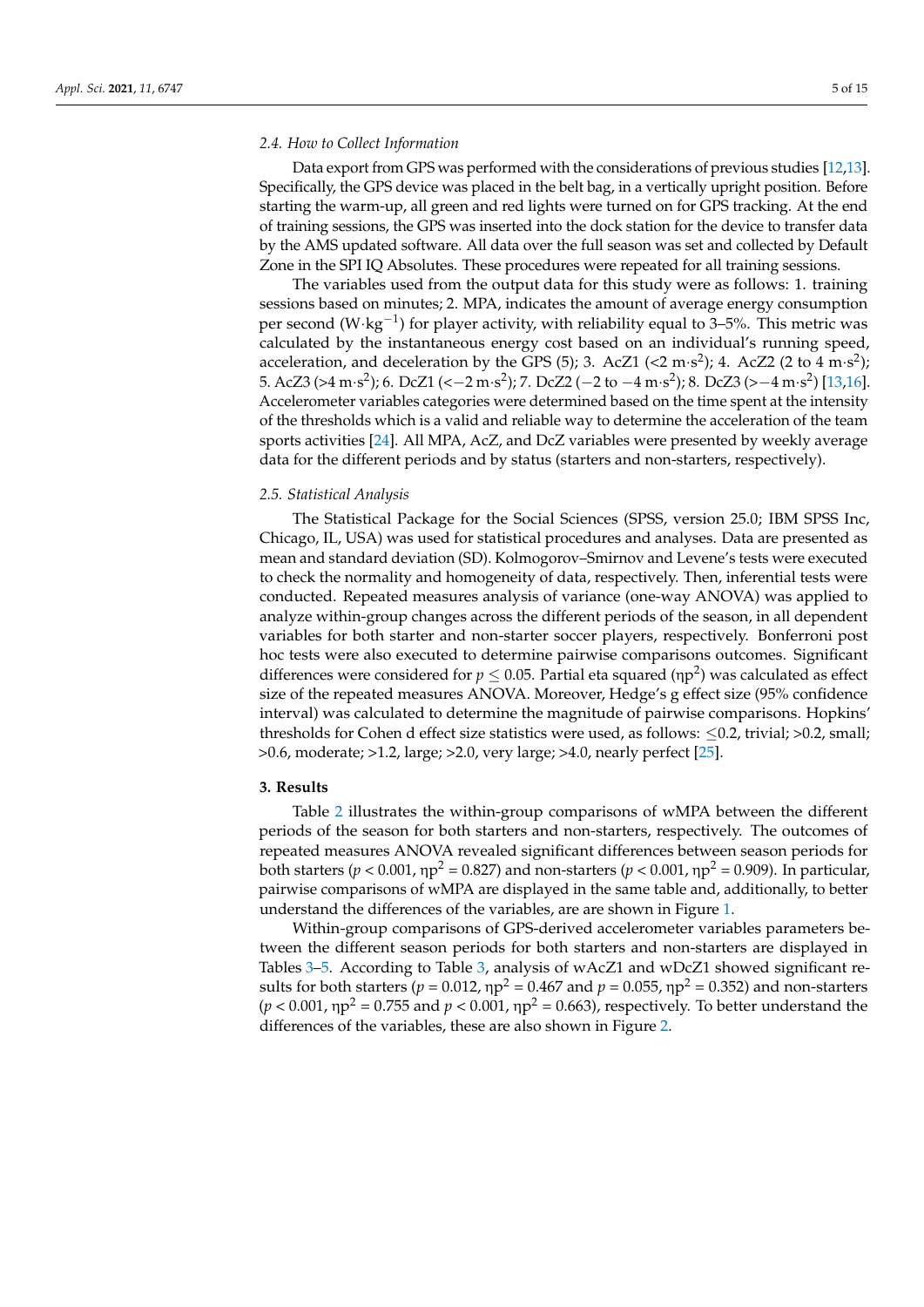## *2.4. How to Collect Information*

Data export from GPS was performed with the considerations of previous studies [\[12](#page-13-11)[,13\]](#page-13-12). Specifically, the GPS device was placed in the belt bag, in a vertically upright position. Before starting the warm-up, all green and red lights were turned on for GPS tracking. At the end of training sessions, the GPS was inserted into the dock station for the device to transfer data by the AMS updated software. All data over the full season was set and collected by Default Zone in the SPI IQ Absolutes. These procedures were repeated for all training sessions.

The variables used from the output data for this study were as follows: 1. training sessions based on minutes; 2. MPA, indicates the amount of average energy consumption per second (W⋅kg<sup>-1</sup>) for player activity, with reliability equal to 3-5%. This metric was calculated by the instantaneous energy cost based on an individual's running speed, acceleration, and deceleration by the GPS (5); 3. AcZ1 (<2 m·s<sup>2</sup>); 4. AcZ2 (2 to 4 m·s<sup>2</sup>); 5. AcZ3 (>4 m·s<sup>2</sup>); 6. DcZ1 (<−2 m·s<sup>2</sup>); 7. DcZ2 (−2 to −4 m·s<sup>2</sup>); 8. DcZ3 (>−4 m·s<sup>2</sup>) [\[13](#page-13-12)[,16\]](#page-13-15). Accelerometer variables categories were determined based on the time spent at the intensity of the thresholds which is a valid and reliable way to determine the acceleration of the team sports activities [\[24\]](#page-14-3). All MPA, AcZ, and DcZ variables were presented by weekly average data for the different periods and by status (starters and non-starters, respectively).

#### *2.5. Statistical Analysis*

The Statistical Package for the Social Sciences (SPSS, version 25.0; IBM SPSS Inc, Chicago, IL, USA) was used for statistical procedures and analyses. Data are presented as mean and standard deviation (SD). Kolmogorov–Smirnov and Levene's tests were executed to check the normality and homogeneity of data, respectively. Then, inferential tests were conducted. Repeated measures analysis of variance (one-way ANOVA) was applied to analyze within-group changes across the different periods of the season, in all dependent variables for both starter and non-starter soccer players, respectively. Bonferroni post hoc tests were also executed to determine pairwise comparisons outcomes. Significant differences were considered for  $p \leq 0.05$ . Partial eta squared ( $np^2$ ) was calculated as effect size of the repeated measures ANOVA. Moreover, Hedge's g effect size (95% confidence interval) was calculated to determine the magnitude of pairwise comparisons. Hopkins' thresholds for Cohen d effect size statistics were used, as follows:  $\leq 0.2$ , trivial; >0.2, small; >0.6, moderate; >1.2, large; >2.0, very large; >4.0, nearly perfect [\[25\]](#page-14-4).

# **3. Results**

Table [2](#page-5-0) illustrates the within-group comparisons of wMPA between the different periods of the season for both starters and non-starters, respectively. The outcomes of repeated measures ANOVA revealed significant differences between season periods for both starters ( $p < 0.001$ ,  $\eta p^2 = 0.827$ ) and non-starters ( $p < 0.001$ ,  $\eta p^2 = 0.909$ ). In particular, pairwise comparisons of wMPA are displayed in the same table and, additionally, to better understand the differences of the variables, are are shown in Figure [1.](#page-9-0)

Within-group comparisons of GPS-derived accelerometer variables parameters between the different season periods for both starters and non-starters are displayed in Tables [3–](#page-6-0)[5.](#page-8-0) According to Table [3,](#page-6-0) analysis of wAcZ1 and wDcZ1 showed significant results for both starters ( $p = 0.012$ ,  $np^2 = 0.467$  and  $p = 0.055$ ,  $np^2 = 0.352$ ) and non-starters  $(p < 0.001, \eta p^2 = 0.755$  and  $p < 0.001, \eta p^2 = 0.663$ ), respectively. To better understand the differences of the variables, these are also shown in Figure [2.](#page-9-1)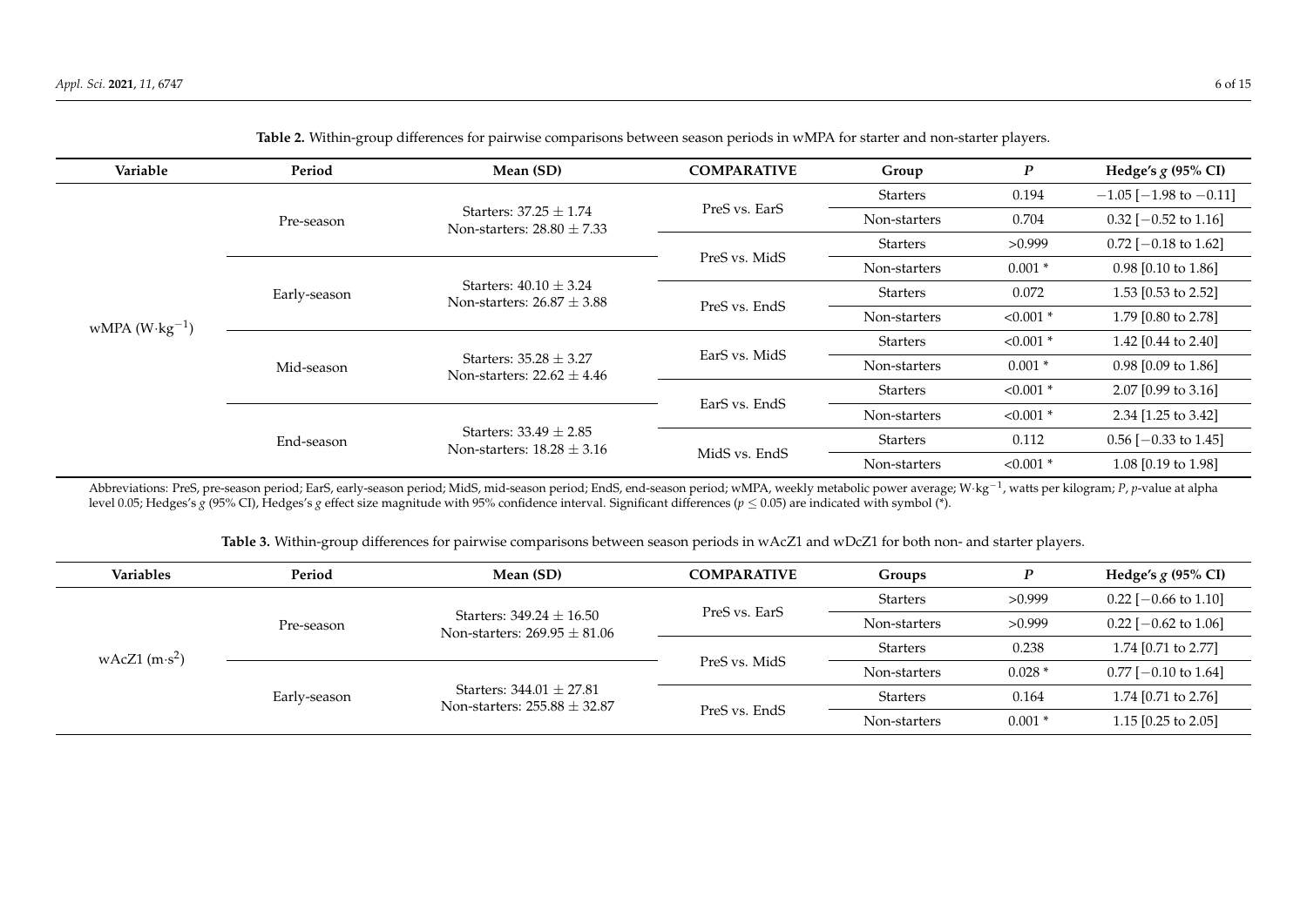| Variable                 | Period       | Mean (SD)                                                    | <b>COMPARATIVE</b> | Group           | $\boldsymbol{P}$ | Hedge's $g$ (95% CI)           |
|--------------------------|--------------|--------------------------------------------------------------|--------------------|-----------------|------------------|--------------------------------|
|                          |              |                                                              |                    | <b>Starters</b> | 0.194            | $-1.05$ [ $-1.98$ to $-0.11$ ] |
|                          | Pre-season   | Starters: $37.25 \pm 1.74$<br>Non-starters: $28.80 \pm 7.33$ | PreS vs. EarS      | Non-starters    | 0.704            | $0.32$ [-0.52 to 1.16]         |
|                          |              |                                                              |                    | Starters        | >0.999           | $0.72$ [-0.18 to 1.62]         |
|                          |              |                                                              | PreS vs. MidS      | Non-starters    | $0.001*$         | $0.98$ [0.10 to 1.86]          |
|                          | Early-season | Starters: $40.10 \pm 3.24$<br>Non-starters: $26.87 \pm 3.88$ |                    | <b>Starters</b> | 0.072            | 1.53 $[0.53$ to 2.52]          |
| wMPA $(W \cdot kg^{-1})$ |              |                                                              | PreS vs. EndS      | Non-starters    | $< 0.001$ *      | 1.79 [0.80 to 2.78]            |
|                          |              |                                                              |                    | <b>Starters</b> | $< 0.001$ *      | 1.42 [0.44 to 2.40]            |
|                          | Mid-season   | Starters: $35.28 \pm 3.27$<br>Non-starters: $22.62 \pm 4.46$ | EarS vs. MidS      | Non-starters    | $0.001*$         | $0.98$ [0.09 to 1.86]          |
|                          |              |                                                              |                    | <b>Starters</b> | $< 0.001$ *      | 2.07 $[0.99$ to 3.16]          |
|                          |              |                                                              | EarS vs. EndS      | Non-starters    | $< 0.001$ *      | 2.34 [1.25 to 3.42]            |
|                          | End-season   | Starters: $33.49 + 2.85$<br>Non-starters: $18.28 \pm 3.16$   |                    | <b>Starters</b> | 0.112            | $0.56$ [-0.33 to 1.45]         |
|                          |              |                                                              | MidS vs. EndS      | Non-starters    | $< 0.001$ *      | 1.08 [0.19 to 1.98]            |

**Table 2.** Within-group differences for pairwise comparisons between season periods in wMPA for starter and non-starter players.

<span id="page-5-0"></span>Abbreviations: PreS, pre-season period; EarS, early-season period; MidS, mid-season period; EndS, end-season period; wMPA, weekly metabolic power average; W·kg−<sup>1</sup> , watts per kilogram; *P*, *p*-value at alpha level 0.05; Hedges's *g* (95% CI), Hedges's *g* effect size magnitude with 95% confidence interval. Significant differences ( $p \le 0.05$ ) are indicated with symbol (\*).

**Table 3.** Within-group differences for pairwise comparisons between season periods in wAcZ1 and wDcZ1 for both non- and starter players.

| <b>Variables</b> | Period       | Mean (SD)                                                        | <b>COMPARATIVE</b> | Groups          | D        | Hedge's $g(95\% \text{ CI})$ |
|------------------|--------------|------------------------------------------------------------------|--------------------|-----------------|----------|------------------------------|
|                  |              |                                                                  | PreS vs. EarS      | <b>Starters</b> | >0.999   | $0.22$ [-0.66 to 1.10]       |
|                  | Pre-season   | Starters: $349.24 \pm 16.50$<br>Non-starters: $269.95 \pm 81.06$ |                    | Non-starters    | >0.999   | $0.22$ [-0.62 to 1.06]       |
| wAcZ1 $(m·s2)$   |              |                                                                  |                    | Starters        | 0.238    | 1.74 [0.71 to 2.77]          |
|                  |              |                                                                  | PreS vs. MidS      | Non-starters    | $0.028*$ | $0.77$ [-0.10 to 1.64]       |
|                  | Early-season | Starters: $344.01 \pm 27.81$<br>Non-starters: $255.88 \pm 32.87$ |                    | Starters        | 0.164    | 1.74 [0.71 to 2.76]          |
|                  |              |                                                                  | PreS vs. EndS      | Non-starters    | $0.001*$ | 1.15 [0.25 to 2.05]          |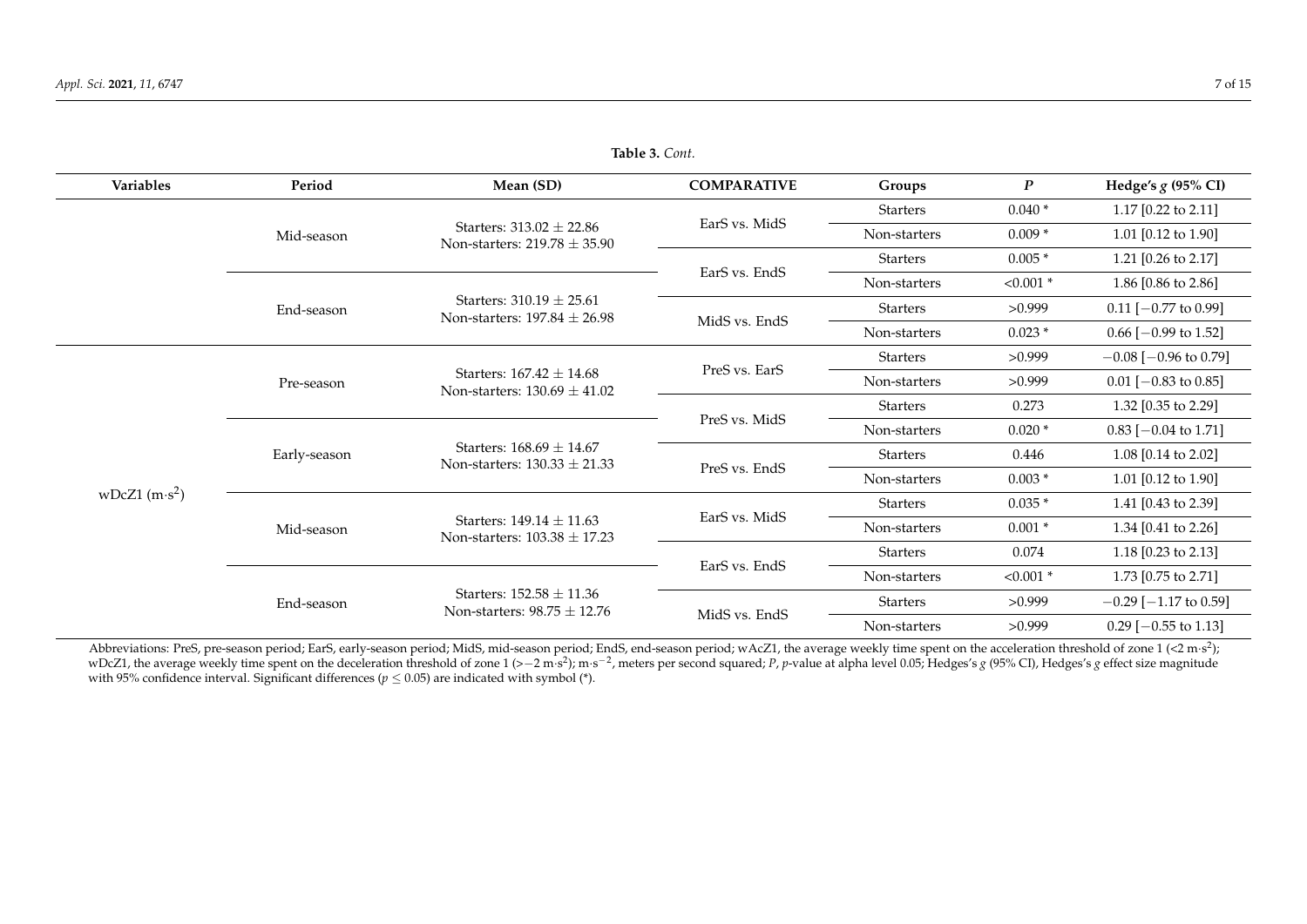| Variables       | Period       | Mean (SD)                                                        | <b>COMPARATIVE</b> | Groups          | $\boldsymbol{P}$ | Hedge's $g$ (95% CI)           |
|-----------------|--------------|------------------------------------------------------------------|--------------------|-----------------|------------------|--------------------------------|
|                 |              |                                                                  |                    | <b>Starters</b> | $0.040*$         | 1.17 $[0.22 \text{ to } 2.11]$ |
|                 | Mid-season   | Starters: $313.02 + 22.86$<br>Non-starters: $219.78 \pm 35.90$   | EarS vs. MidS      | Non-starters    | $0.009*$         | 1.01 [0.12 to 1.90]            |
|                 |              |                                                                  |                    | <b>Starters</b> | $0.005*$         | 1.21 [0.26 to 2.17]            |
|                 |              |                                                                  | EarS vs. EndS      | Non-starters    | $< 0.001$ *      | 1.86 [0.86 to 2.86]            |
|                 | End-season   | Starters: $310.19 \pm 25.61$<br>Non-starters: $197.84 \pm 26.98$ |                    | <b>Starters</b> | >0.999           | $0.11$ [-0.77 to 0.99]         |
|                 |              |                                                                  | MidS vs. EndS      | Non-starters    | $0.023*$         | $0.66$ [ $-0.99$ to 1.52]      |
|                 |              |                                                                  |                    | <b>Starters</b> | >0.999           | $-0.08$ [ $-0.96$ to 0.79]     |
|                 | Pre-season   | Starters: $167.42 \pm 14.68$<br>Non-starters: $130.69 \pm 41.02$ | PreS vs. EarS      | Non-starters    | >0.999           | $0.01$ [-0.83 to 0.85]         |
|                 |              |                                                                  |                    | <b>Starters</b> | 0.273            | 1.32 [0.35 to 2.29]            |
|                 |              |                                                                  | PreS vs. MidS      | Non-starters    | $0.020*$         | $0.83$ [-0.04 to 1.71]         |
|                 | Early-season | Starters: $168.69 + 14.67$<br>Non-starters: $130.33 \pm 21.33$   |                    | <b>Starters</b> | 0.446            | 1.08 [0.14 to 2.02]            |
|                 |              |                                                                  | PreS vs. EndS      | Non-starters    | $0.003*$         | 1.01 $[0.12 \text{ to } 1.90]$ |
| wDcZ1 $(m·s^2)$ |              |                                                                  |                    | <b>Starters</b> | $0.035*$         | 1.41 [0.43 to 2.39]            |
|                 | Mid-season   | Starters: $149.14 + 11.63$<br>Non-starters: $103.38 \pm 17.23$   | EarS vs. MidS      | Non-starters    | $0.001*$         | 1.34 [0.41 to 2.26]            |
|                 |              |                                                                  |                    | <b>Starters</b> | 0.074            | 1.18 $[0.23 \text{ to } 2.13]$ |
|                 |              |                                                                  | EarS vs. EndS      | Non-starters    | $< 0.001$ *      | 1.73 [0.75 to 2.71]            |
|                 | End-season   | Starters: $152.58 \pm 11.36$<br>Non-starters: $98.75 \pm 12.76$  |                    | <b>Starters</b> | >0.999           | $-0.29$ [ $-1.17$ to 0.59]     |
|                 |              |                                                                  | MidS vs. EndS      | Non-starters    | >0.999           | $0.29$ [-0.55 to 1.13]         |

**Table 3.** *Cont.*

<span id="page-6-0"></span>Abbreviations: PreS, pre-season period; EarS, early-season period; MidS, mid-season period; EndS, end-season period; wAcZ1, the average weekly time spent on the acceleration threshold of zone 1 (<2 m·s<sup>2</sup>); wDcZ1, the average weekly time spent on the deceleration threshold of zone  $1 (> - 2 \text{ m} \cdot \text{s}^2)$ ; m·s<sup>-2</sup>, meters per second squared; P, p-value at alpha level 0.05; Hedges's g (95% CI), Hedges's g effect size magnitude with 95% confidence interval. Significant differences ( $p \leq 0.05$ ) are indicated with symbol (\*).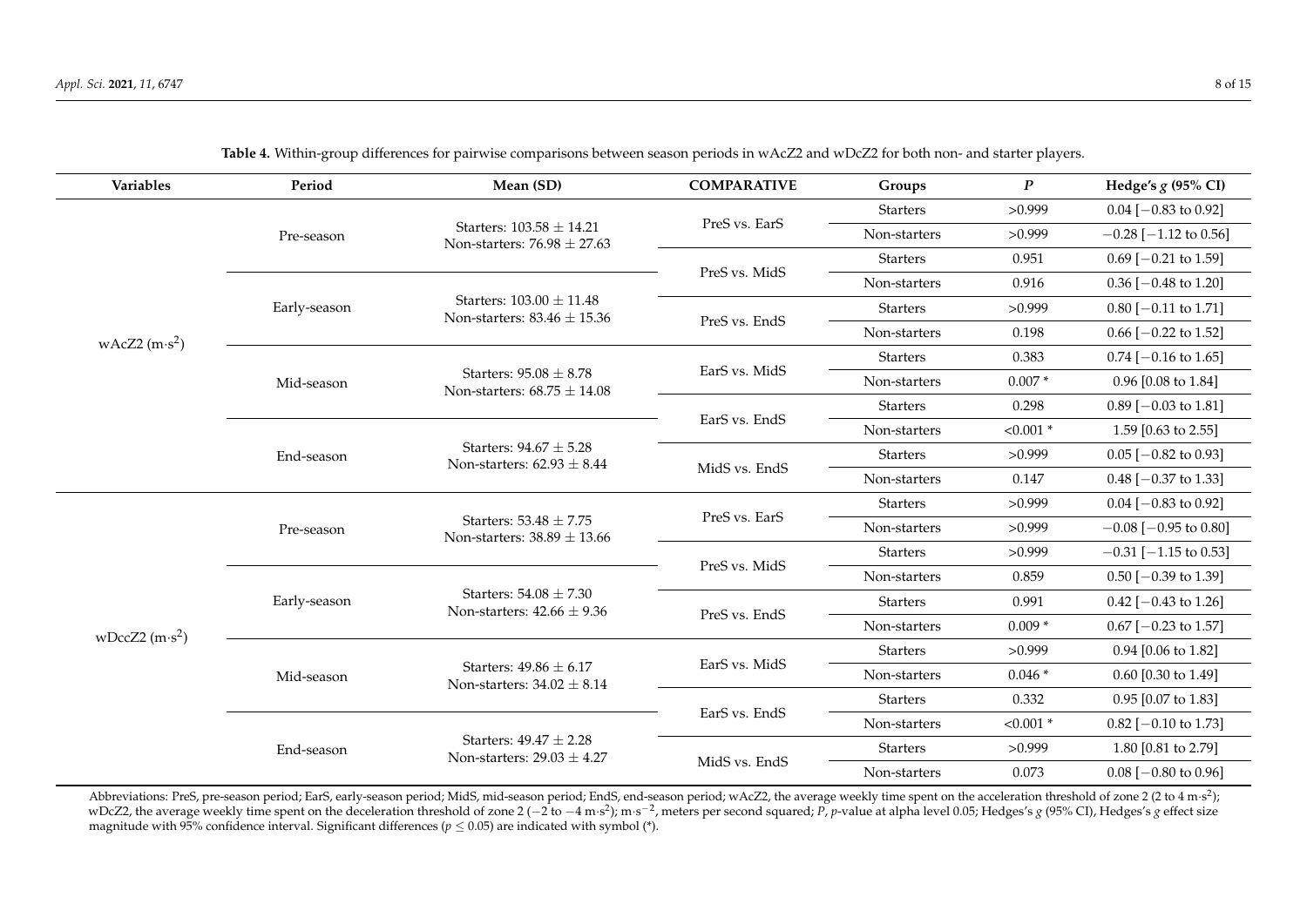| <b>Variables</b> | Period       | Mean (SD)                                                       | <b>COMPARATIVE</b> | Groups          | $\boldsymbol{P}$ | Hedge's $g$ (95% CI)       |
|------------------|--------------|-----------------------------------------------------------------|--------------------|-----------------|------------------|----------------------------|
|                  |              |                                                                 |                    | <b>Starters</b> | >0.999           | $0.04$ [-0.83 to 0.92]     |
|                  | Pre-season   | Starters: $103.58 \pm 14.21$<br>Non-starters: $76.98 \pm 27.63$ | PreS vs. EarS      | Non-starters    | >0.999           | $-0.28$ [ $-1.12$ to 0.56] |
|                  |              |                                                                 |                    | <b>Starters</b> | 0.951            | $0.69$ [-0.21 to 1.59]     |
|                  |              |                                                                 | PreS vs. MidS      | Non-starters    | 0.916            | $0.36$ [-0.48 to 1.20]     |
|                  | Early-season | Starters: $103.00 \pm 11.48$<br>Non-starters: $83.46 \pm 15.36$ |                    | <b>Starters</b> | >0.999           | $0.80$ [-0.11 to 1.71]     |
| wAcZ2 $(m·s^2)$  |              |                                                                 | PreS vs. EndS      | Non-starters    | 0.198            | $0.66$ [ $-0.22$ to 1.52]  |
|                  |              |                                                                 |                    | <b>Starters</b> | 0.383            | $0.74$ [-0.16 to 1.65]     |
|                  | Mid-season   | Starters: $95.08 \pm 8.78$<br>Non-starters: $68.75 \pm 14.08$   | EarS vs. MidS      | Non-starters    | $0.007*$         | $0.96$ [0.08 to 1.84]      |
|                  |              |                                                                 |                    | <b>Starters</b> | 0.298            | $0.89$ [-0.03 to 1.81]     |
|                  |              |                                                                 | EarS vs. EndS      | Non-starters    | $< 0.001$ *      | 1.59 [0.63 to 2.55]        |
|                  | End-season   | Starters: $94.67 \pm 5.28$<br>Non-starters: $62.93 \pm 8.44$    |                    | <b>Starters</b> | >0.999           | $0.05$ [-0.82 to 0.93]     |
|                  |              |                                                                 | MidS vs. EndS      | Non-starters    | 0.147            | $0.48$ [-0.37 to 1.33]     |
|                  |              |                                                                 | PreS vs. EarS      | <b>Starters</b> | >0.999           | $0.04$ [-0.83 to 0.92]     |
|                  | Pre-season   | Starters: $53.48 \pm 7.75$<br>Non-starters: $38.89 \pm 13.66$   |                    | Non-starters    | >0.999           | $-0.08$ [ $-0.95$ to 0.80] |
|                  |              |                                                                 |                    | <b>Starters</b> | >0.999           | $-0.31$ [ $-1.15$ to 0.53] |
|                  |              |                                                                 | PreS vs. MidS      | Non-starters    | 0.859            | $0.50$ [-0.39 to 1.39]     |
|                  | Early-season | Starters: $54.08 \pm 7.30$<br>Non-starters: $42.66 \pm 9.36$    |                    | <b>Starters</b> | 0.991            | $0.42$ [-0.43 to 1.26]     |
| wDccZ2 $(m·s2)$  |              |                                                                 | PreS vs. EndS      | Non-starters    | $0.009*$         | $0.67$ [-0.23 to 1.57]     |
|                  |              |                                                                 |                    | <b>Starters</b> | >0.999           | 0.94 [0.06 to 1.82]        |
|                  | Mid-season   | Starters: $49.86 \pm 6.17$<br>Non-starters: $34.02 \pm 8.14$    | EarS vs. MidS      | Non-starters    | $0.046*$         | 0.60 [0.30 to 1.49]        |
|                  |              |                                                                 |                    | <b>Starters</b> | 0.332            | 0.95 [0.07 to 1.83]        |
|                  |              |                                                                 | EarS vs. EndS      | Non-starters    | $< 0.001$ *      | $0.82$ [-0.10 to 1.73]     |
|                  | End-season   | Starters: $49.47 \pm 2.28$<br>Non-starters: $29.03 \pm 4.27$    |                    | <b>Starters</b> | >0.999           | 1.80 [0.81 to 2.79]        |
|                  |              |                                                                 | MidS vs. EndS      | Non-starters    | 0.073            | $0.08$ [-0.80 to 0.96]     |

**Table 4.** Within-group differences for pairwise comparisons between season periods in wAcZ2 and wDcZ2 for both non- and starter players.

<span id="page-7-0"></span>Abbreviations: PreS, pre-season period; EarS, early-season period; MidS, mid-season period; EndS, end-season period; wAcZ2, the average weekly time spent on the acceleration threshold of zone 2 (2 to 4 m·s<sup>2</sup>); wDcZ2, the average weekly time spent on the deceleration threshold of zone 2 (-2 to -4 m·s<sup>2</sup>); m·s<sup>-2</sup>, meters per second squared; P, p-value at alpha level 0.05; Hedges's g (95% CI), Hedges's g effect size magnitude with 95% confidence interval. Significant differences ( $p \le 0.05$ ) are indicated with symbol (\*).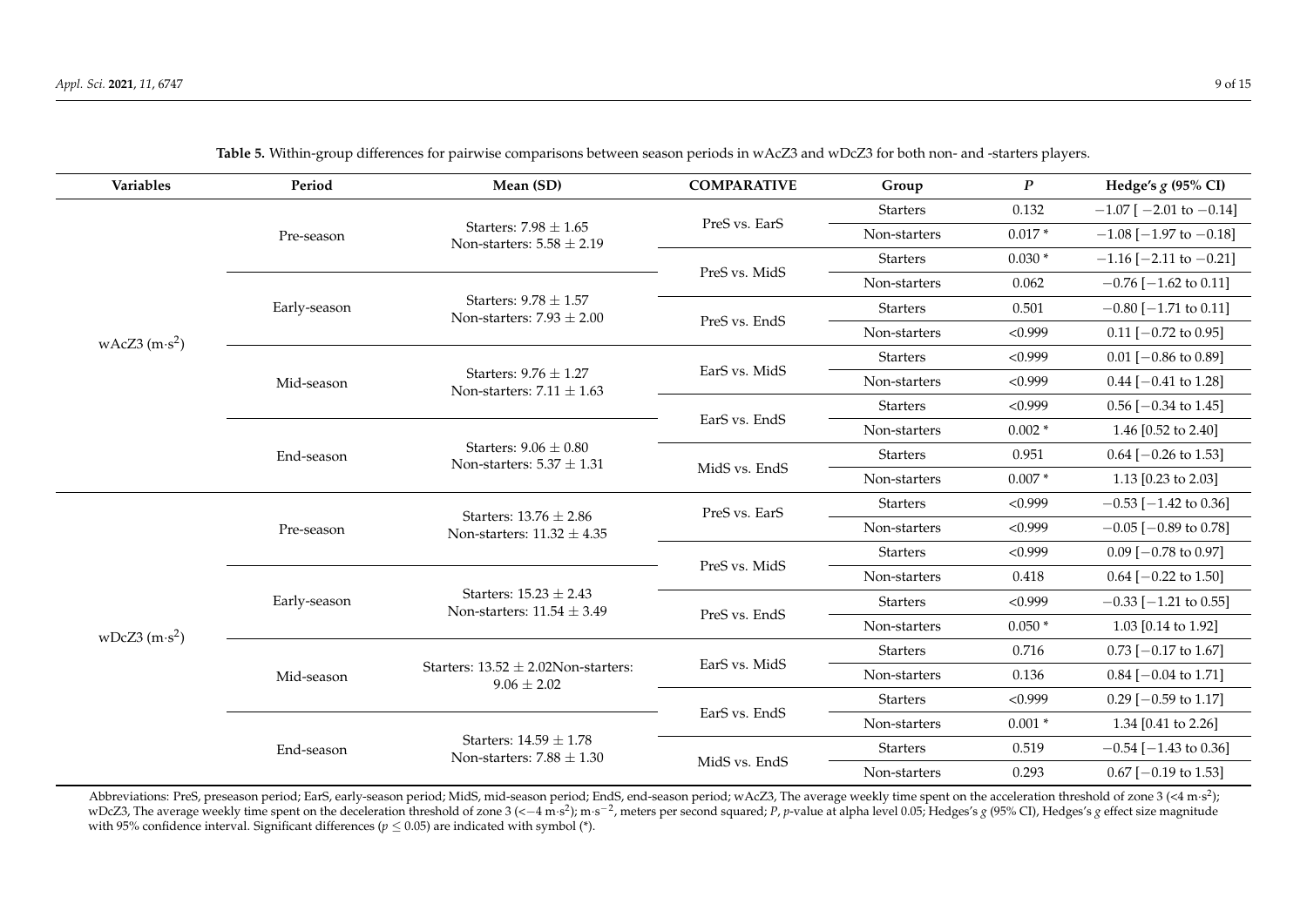| Variables       | Period       | Mean (SD)                                                    | <b>COMPARATIVE</b> | Group                      | $\boldsymbol{P}$ | Hedge's $g$ (95% CI)           |
|-----------------|--------------|--------------------------------------------------------------|--------------------|----------------------------|------------------|--------------------------------|
|                 |              |                                                              |                    | <b>Starters</b>            | 0.132            | $-1.07$ [ $-2.01$ to $-0.14$ ] |
|                 | Pre-season   | Starters: $7.98 \pm 1.65$<br>Non-starters: $5.58 \pm 2.19$   | PreS vs. EarS      | Non-starters               | $0.017*$         | $-1.08$ [ $-1.97$ to $-0.18$ ] |
|                 |              |                                                              |                    | <b>Starters</b>            | $0.030*$         | $-1.16$ [ $-2.11$ to $-0.21$ ] |
|                 |              |                                                              | PreS vs. MidS      | Non-starters               | 0.062            | $-0.76$ [ $-1.62$ to 0.11]     |
|                 | Early-season | Starters: $9.78 \pm 1.57$<br>Non-starters: $7.93 \pm 2.00$   | PreS vs. EndS      | <b>Starters</b>            | 0.501            | $-0.80$ [ $-1.71$ to 0.11]     |
| wAcZ3 $(m·s^2)$ |              |                                                              |                    | Non-starters               | < 0.999          | $0.11$ [-0.72 to 0.95]         |
|                 |              |                                                              |                    | <b>Starters</b>            | < 0.999          | $0.01$ [-0.86 to 0.89]         |
|                 | Mid-season   | Starters: $9.76 \pm 1.27$<br>Non-starters: $7.11 \pm 1.63$   | EarS vs. MidS      | Non-starters               | < 0.999          | $0.44$ [-0.41 to 1.28]         |
|                 |              |                                                              |                    | < 0.999<br><b>Starters</b> |                  | $0.56$ [ $-0.34$ to 1.45]      |
|                 |              |                                                              | EarS vs. EndS      | Non-starters               | $0.002*$         | 1.46 [0.52 to 2.40]            |
|                 | End-season   | Starters: $9.06 \pm 0.80$<br>Non-starters: $5.37 \pm 1.31$   |                    | <b>Starters</b>            | 0.951            | $0.64$ [-0.26 to 1.53]         |
|                 |              |                                                              | MidS vs. EndS      | Non-starters               | $0.007*$         | 1.13 $[0.23 \text{ to } 2.03]$ |
|                 |              | Starters: $13.76 \pm 2.86$                                   | PreS vs. EarS      | <b>Starters</b>            | < 0.999          | $-0.53$ [ $-1.42$ to 0.36]     |
|                 | Pre-season   | Non-starters: $11.32 \pm 4.35$                               |                    | Non-starters               | < 0.999          | $-0.05$ [ $-0.89$ to 0.78]     |
|                 |              |                                                              |                    | <b>Starters</b>            | < 0.999          | $0.09$ [-0.78 to 0.97]         |
|                 |              |                                                              | PreS vs. MidS      | Non-starters               | 0.418            | $0.64$ [-0.22 to 1.50]         |
|                 | Early-season | Starters: $15.23 \pm 2.43$<br>Non-starters: $11.54 \pm 3.49$ | PreS vs. EndS      | <b>Starters</b>            | < 0.999          | $-0.33$ [ $-1.21$ to 0.55]     |
| wDcZ3 $(m·s^2)$ |              |                                                              |                    | Non-starters               | $0.050*$         | 1.03 $[0.14 \text{ to } 1.92]$ |
|                 |              |                                                              | EarS vs. MidS      | <b>Starters</b>            | 0.716            | $0.73$ [-0.17 to 1.67]         |
|                 | Mid-season   | Starters: $13.52 \pm 2.02$ Non-starters:<br>$9.06 \pm 2.02$  |                    | Non-starters               | 0.136            | $0.84$ [-0.04 to 1.71]         |
|                 |              |                                                              | EarS vs. EndS      | <b>Starters</b>            | < 0.999          | $0.29$ [-0.59 to 1.17]         |
|                 |              |                                                              |                    | Non-starters               | $0.001*$         | 1.34 [0.41 to 2.26]            |
|                 | End-season   | Starters: $14.59 \pm 1.78$<br>Non-starters: $7.88 \pm 1.30$  | MidS vs. EndS      | <b>Starters</b>            | 0.519            | $-0.54$ [ $-1.43$ to 0.36]     |
|                 |              |                                                              |                    | Non-starters               | 0.293            | $0.67$ [-0.19 to 1.53]         |

**Table 5.** Within-group differences for pairwise comparisons between season periods in wAcZ3 and wDcZ3 for both non- and -starters players.

<span id="page-8-0"></span>Abbreviations: PreS, preseason period; EarS, early-season period; MidS, mid-season period; EndS, end-season period; wAcZ3, The average weekly time spent on the acceleration threshold of zone 3 (<4 m·s<sup>2</sup>); wDcZ3, The average weekly time spent on the deceleration threshold of zone 3 (<-4 m·s<sup>2</sup>); m·s<sup>-2</sup>, meters per second squared; P, p-value at alpha level 0.05; Hedges's g (95% CI), Hedges's g effect size magnitude with 95% confidence interval. Significant differences ( $p \leq 0.05$ ) are indicated with symbol (\*).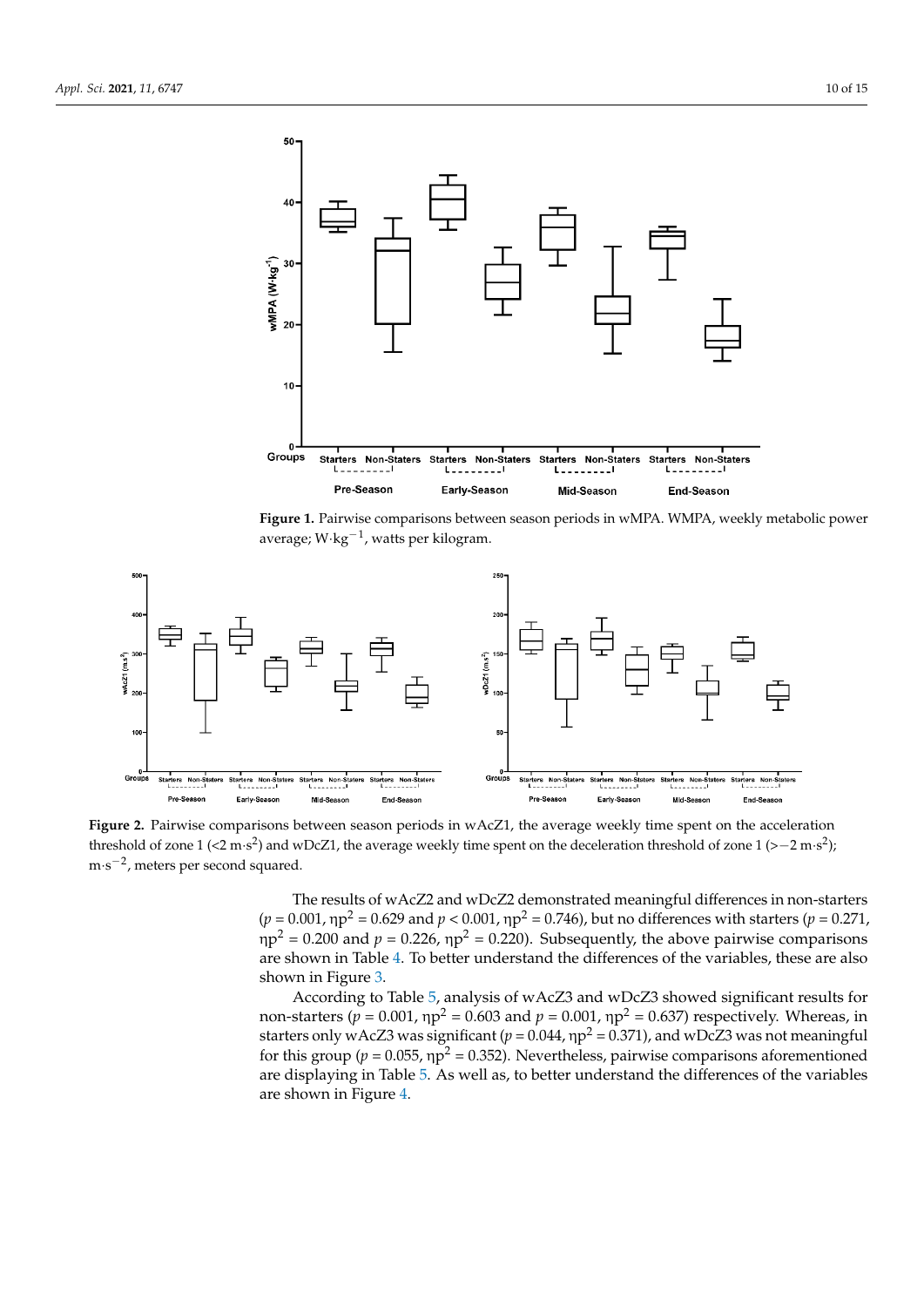<span id="page-9-0"></span>

**Figure 1.** Pairwise comparisons between season periods in wMPA. WMPA, weekly metabolic power average; W·kg<sup>−1</sup>, watts per kilogram.

<span id="page-9-1"></span>

threshold of zone  $1$  (<2 m·s<sup>2</sup>) and wDcZ1, the average weekly time spent on the deceleration threshold of zone  $1$  (>-2 m·s<sup>2</sup>);  $t_1$  and we can define the average weekly time spent on the deceleration threshold of  $z_1$ m·s<sup>−</sup>2, meters per second squared. m·s −2 , meters per second squared. **Figure 2.** Pairwise comparisons between season periods in wAcZ1, the average weekly time spent on the acceleration

 $(p = 0.001, \eta p^2 = 0.629$  and  $p < 0.001, \eta p^2 = 0.746$ ), but no differences with starters ( $p = 0.271$ ,  $p^2 = 0.200$  and  $p = 0.226$ ,  $np^2 = 0.220$ ). Subsequently, the above pairwise comparisons are shown in Table [4.](#page-7-0) To better understand the differences of the variables, these are also shown in Figure [3.](#page-10-0) To be the differences of the differences of the variables, the variables, the variables, the variables, the variables, the variables, the variables, the variables, the variables, the variables, the varia The results of wAcZ2 and wDcZ2 demonstrated meaningful differences in non-starters

According to Table [5,](#page-8-0) analysis of wAcZ3 and wDcZ3 showed significant results for starters only wAcZ3 was significant ( $p = 0.044$ ,  $np^2 = 0.371$ ), and wDcZ3 was not meaningful are displaying in Table 5. As well as, to better understand the differences of the variables non-starters ( $p = 0.001$ , η $p^2 = 0.603$  and  $p = 0.001$ , η $p^2 = 0.637$ ) respectively. Whereas, in for this group ( $p = 0.055$ ,  $np^2 = 0.352$ ). Nevertheless, pairwise comparisons aforementioned are shown in Figure [4.](#page-10-1)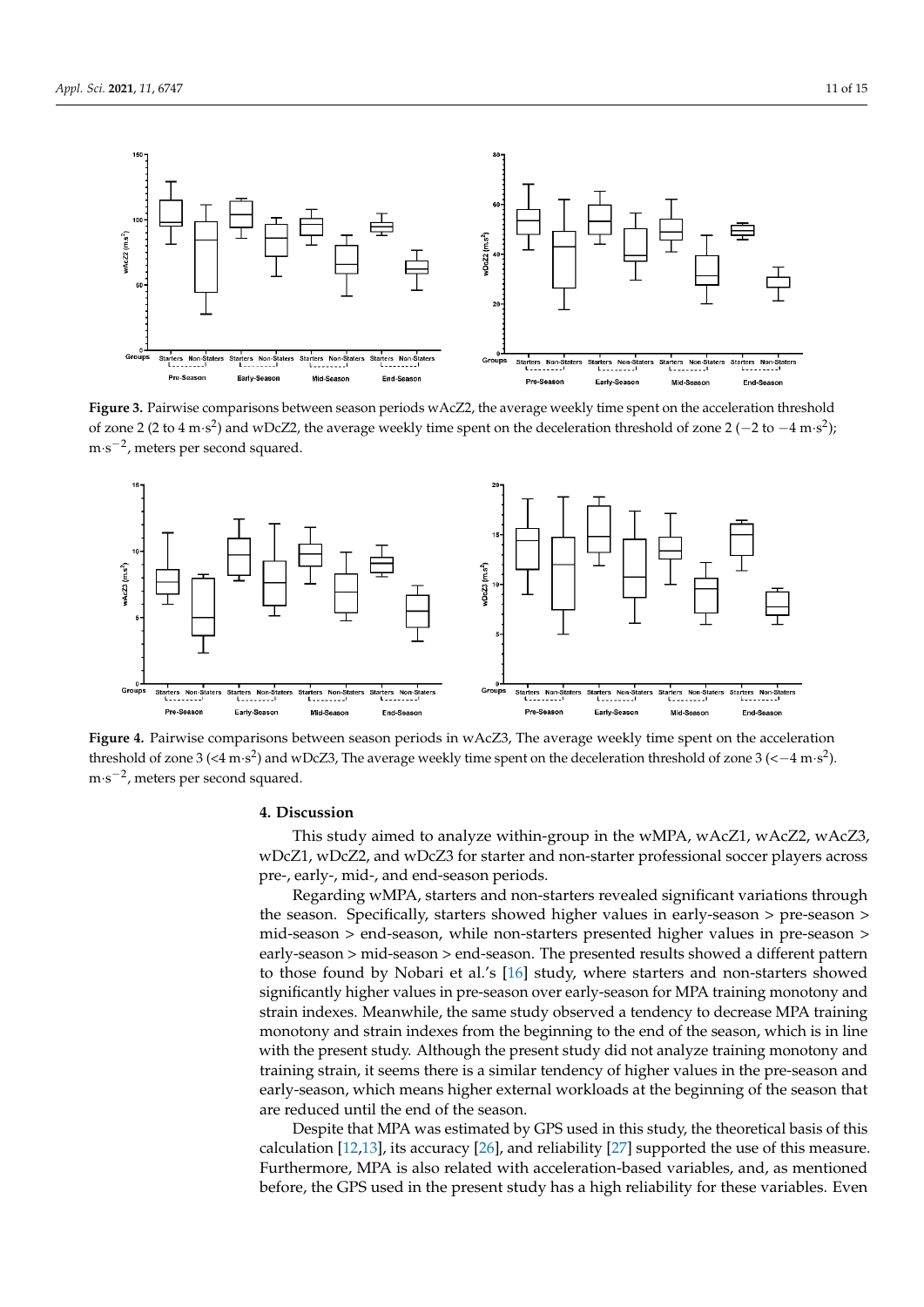$\sim$  0.05) are indicated with symbol (\*).

<span id="page-10-0"></span>

**Figure 3.**  $(2 \text{ to } 4 \text{ m/s}^2)$  **and wDcZ2** the average weekly time spent on the deceleration threshold of zone 3.(2 to  $(4 \text{ m/s}^2)$ .) of zone 2 (2 to 4 m·s<sup>2</sup>) and wDcZ2, the average weekly time spent on the deceleration threshold of zone 2 (-2 to -4 m·s<sup>2</sup>); m·s<sup>−2</sup>, meters per second squared. Figure 3. Pairwise comparisons between season periods wAcZ2, the average weekly time spent on the acceleration threshold

<span id="page-10-1"></span>

Figure 4. Pairwise comparisons between season periods in wAcZ3, The average weekly time spent on the acceleration  $\gamma$  time spent on the deceleration threshold of zone  $\sigma$ ( $\sim$ -4.11°s).  $F_{\text{rephald}}$  of zone  $2/(4 \pi c^2)$  and  $wDc^2$ <sup>3</sup>. The average weekly time spent on the deceleration threshold of zone  $2/(\ell + m c^2)$ threshold of zone 3 (<4 m·s<sup>2</sup>) and wDcZ3, The average weekly time spent on the deceleration threshold of zone 3 (<–4 m·s<sup>2</sup>). m·s<sup>−</sup>2, meters per second squared. m·s −2 , meters per second squared.

# Early-season Starters: 9.78 ± 1.57 Non-starters: 7.93 ± 2.00 **4. Discussion**

PreS vs. EndS Starters 0.501 to 0.501 to 0.111 to 0.111 to 0.111 to 0.111 to 0.111 to 0.111 to 0.111 to 0.111<br>December 10.111 to 0.111 to 0.111 to 0.111 to 0.111 to 0.111 to 0.111 to 0.111 to 0.111 to 0.111 to 0.111 to 0 **This study aimed to analyze within-group in the wMPA, wAcZ1, wAcZ2, wAcZ5** pre-, early-, mid-, and end-season periods. wDcZ1, wDcZ2, and wDcZ3 for starter and non-starter professional soccer players across This study aimed to analyze within-group in the wMPA, wAcZ1, wAcZ2, wAcZ3,

Non-starters: 7.11 ± 1.63 pre-, early-, mid-, and end-season periods. Regarding wMPA, starters and non-starters revealed significant variations through Frees and non-starters revealed significant variations through<br>
rters showed higher values in early-season > pre-season  $mid$  season  $>$  end-season, while non-starters presented higher values in pre-season  $>$  experimental season  $>$ early-season > mid-season > end-season. The presented results showed a different pattern to those found by Nobari et al.'s  $[16]$  study, where starters and non-starters showed significantly higher varies in pre-season over early-season for M17x training including and<br>strain indexes. Meanwhile, the same study observed a tendency to decrease MPA training significantly higher values in pre-season over early-season for MPA training monotony and monotony and strain indexes from the beginning to the end of the season, which is in line<br>with the present study. Although the present study did not analyze training monotony and with the present study. Although the present study did not analyze training monotony and the season. Specifically, starters showed higher values in early-season > pre-season > training strain, it seems there is a similar tendency of higher values in the pre-season and early-season, which means higher external workloads at the beginning of the season that are reduced until the end of the season.

> Despite that MPA was estimated by GPS used in this study, the theoretical basis of this calculation [12,13], its accuracy [26], and reliability [27] supported the use of this measure. Furthermore, MPA is also related with acceleration-based variables, and, as mentioned before, the GPS used in the present study has a high reliability for these variables. Even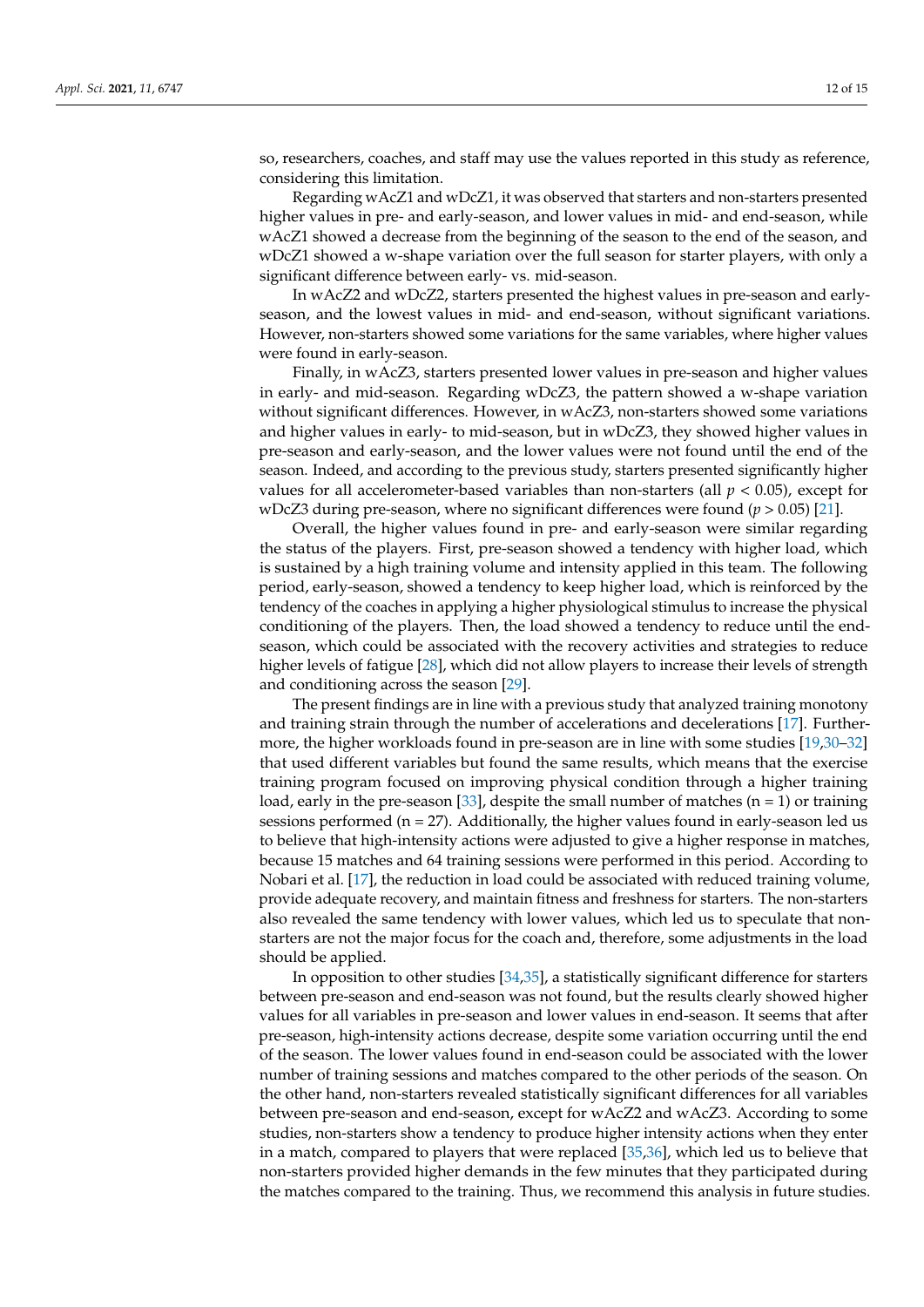so, researchers, coaches, and staff may use the values reported in this study as reference, considering this limitation.

Regarding wAcZ1 and wDcZ1, it was observed that starters and non-starters presented higher values in pre- and early-season, and lower values in mid- and end-season, while wAcZ1 showed a decrease from the beginning of the season to the end of the season, and wDcZ1 showed a w-shape variation over the full season for starter players, with only a significant difference between early- vs. mid-season.

In wAcZ2 and wDcZ2, starters presented the highest values in pre-season and earlyseason, and the lowest values in mid- and end-season, without significant variations. However, non-starters showed some variations for the same variables, where higher values were found in early-season.

Finally, in wAcZ3, starters presented lower values in pre-season and higher values in early- and mid-season. Regarding wDcZ3, the pattern showed a w-shape variation without significant differences. However, in wAcZ3, non-starters showed some variations and higher values in early- to mid-season, but in wDcZ3, they showed higher values in pre-season and early-season, and the lower values were not found until the end of the season. Indeed, and according to the previous study, starters presented significantly higher values for all accelerometer-based variables than non-starters (all  $p < 0.05$ ), except for wDcZ3 during pre-season, where no significant differences were found (*p* > 0.05) [\[21\]](#page-14-0).

Overall, the higher values found in pre- and early-season were similar regarding the status of the players. First, pre-season showed a tendency with higher load, which is sustained by a high training volume and intensity applied in this team. The following period, early-season, showed a tendency to keep higher load, which is reinforced by the tendency of the coaches in applying a higher physiological stimulus to increase the physical conditioning of the players. Then, the load showed a tendency to reduce until the endseason, which could be associated with the recovery activities and strategies to reduce higher levels of fatigue [\[28\]](#page-14-7), which did not allow players to increase their levels of strength and conditioning across the season [\[29\]](#page-14-8).

The present findings are in line with a previous study that analyzed training monotony and training strain through the number of accelerations and decelerations [\[17\]](#page-13-16). Furthermore, the higher workloads found in pre-season are in line with some studies [\[19](#page-13-18)[,30–](#page-14-9)[32\]](#page-14-10) that used different variables but found the same results, which means that the exercise training program focused on improving physical condition through a higher training load, early in the pre-season [\[33\]](#page-14-11), despite the small number of matches  $(n = 1)$  or training sessions performed ( $n = 27$ ). Additionally, the higher values found in early-season led us to believe that high-intensity actions were adjusted to give a higher response in matches, because 15 matches and 64 training sessions were performed in this period. According to Nobari et al. [\[17\]](#page-13-16), the reduction in load could be associated with reduced training volume, provide adequate recovery, and maintain fitness and freshness for starters. The non-starters also revealed the same tendency with lower values, which led us to speculate that nonstarters are not the major focus for the coach and, therefore, some adjustments in the load should be applied.

In opposition to other studies [\[34,](#page-14-12)[35\]](#page-14-13), a statistically significant difference for starters between pre-season and end-season was not found, but the results clearly showed higher values for all variables in pre-season and lower values in end-season. It seems that after pre-season, high-intensity actions decrease, despite some variation occurring until the end of the season. The lower values found in end-season could be associated with the lower number of training sessions and matches compared to the other periods of the season. On the other hand, non-starters revealed statistically significant differences for all variables between pre-season and end-season, except for wAcZ2 and wAcZ3. According to some studies, non-starters show a tendency to produce higher intensity actions when they enter in a match, compared to players that were replaced [\[35,](#page-14-13)[36\]](#page-14-14), which led us to believe that non-starters provided higher demands in the few minutes that they participated during the matches compared to the training. Thus, we recommend this analysis in future studies.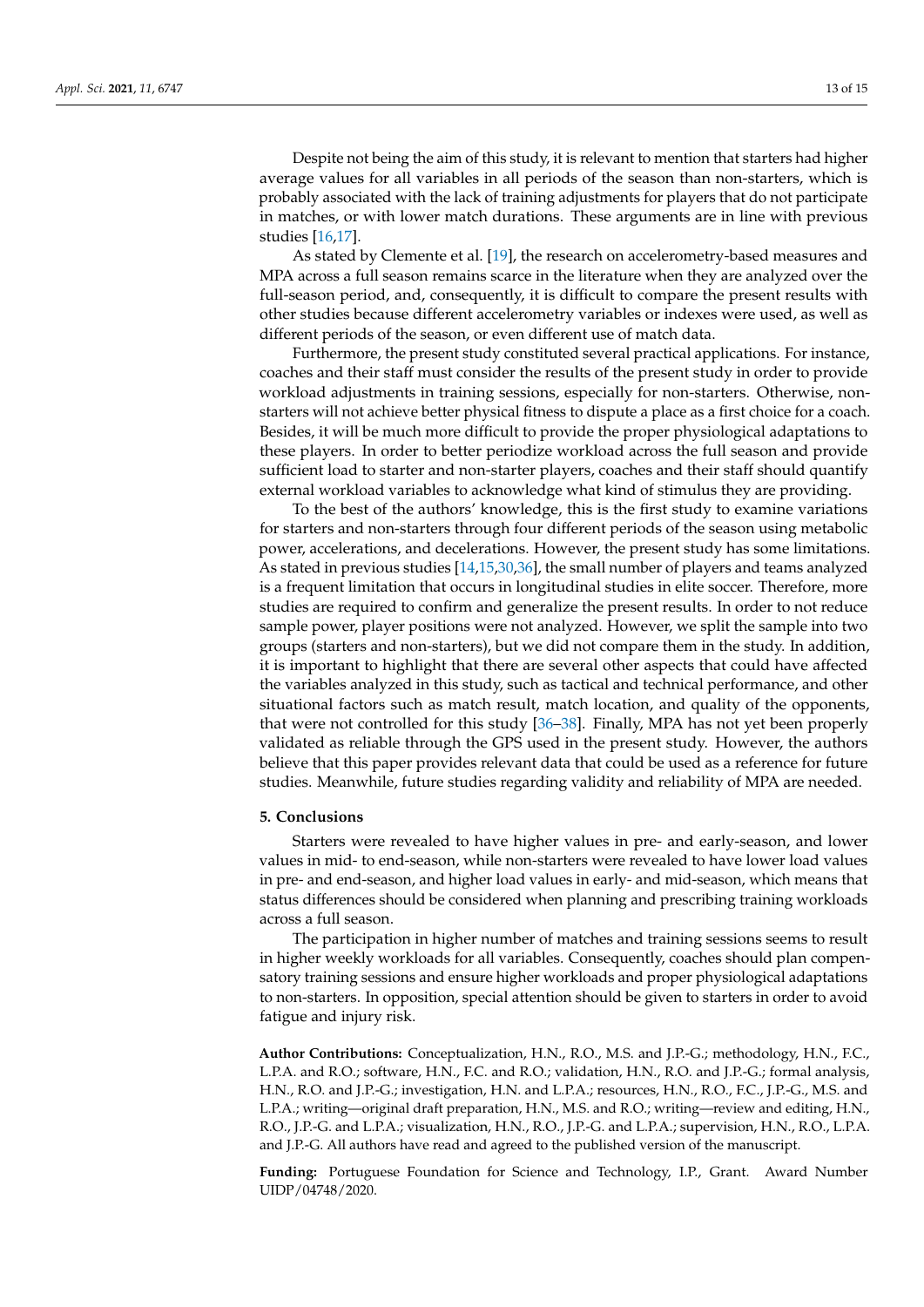Despite not being the aim of this study, it is relevant to mention that starters had higher average values for all variables in all periods of the season than non-starters, which is probably associated with the lack of training adjustments for players that do not participate in matches, or with lower match durations. These arguments are in line with previous studies [\[16](#page-13-15)[,17\]](#page-13-16).

As stated by Clemente et al. [\[19\]](#page-13-18), the research on accelerometry-based measures and MPA across a full season remains scarce in the literature when they are analyzed over the full-season period, and, consequently, it is difficult to compare the present results with other studies because different accelerometry variables or indexes were used, as well as different periods of the season, or even different use of match data.

Furthermore, the present study constituted several practical applications. For instance, coaches and their staff must consider the results of the present study in order to provide workload adjustments in training sessions, especially for non-starters. Otherwise, nonstarters will not achieve better physical fitness to dispute a place as a first choice for a coach. Besides, it will be much more difficult to provide the proper physiological adaptations to these players. In order to better periodize workload across the full season and provide sufficient load to starter and non-starter players, coaches and their staff should quantify external workload variables to acknowledge what kind of stimulus they are providing.

To the best of the authors' knowledge, this is the first study to examine variations for starters and non-starters through four different periods of the season using metabolic power, accelerations, and decelerations. However, the present study has some limitations. As stated in previous studies [\[14,](#page-13-13)[15,](#page-13-14)[30](#page-14-9)[,36\]](#page-14-14), the small number of players and teams analyzed is a frequent limitation that occurs in longitudinal studies in elite soccer. Therefore, more studies are required to confirm and generalize the present results. In order to not reduce sample power, player positions were not analyzed. However, we split the sample into two groups (starters and non-starters), but we did not compare them in the study. In addition, it is important to highlight that there are several other aspects that could have affected the variables analyzed in this study, such as tactical and technical performance, and other situational factors such as match result, match location, and quality of the opponents, that were not controlled for this study [\[36–](#page-14-14)[38\]](#page-14-15). Finally, MPA has not yet been properly validated as reliable through the GPS used in the present study. However, the authors believe that this paper provides relevant data that could be used as a reference for future studies. Meanwhile, future studies regarding validity and reliability of MPA are needed.

#### **5. Conclusions**

Starters were revealed to have higher values in pre- and early-season, and lower values in mid- to end-season, while non-starters were revealed to have lower load values in pre- and end-season, and higher load values in early- and mid-season, which means that status differences should be considered when planning and prescribing training workloads across a full season.

The participation in higher number of matches and training sessions seems to result in higher weekly workloads for all variables. Consequently, coaches should plan compensatory training sessions and ensure higher workloads and proper physiological adaptations to non-starters. In opposition, special attention should be given to starters in order to avoid fatigue and injury risk.

**Author Contributions:** Conceptualization, H.N., R.O., M.S. and J.P.-G.; methodology, H.N., F.C., L.P.A. and R.O.; software, H.N., F.C. and R.O.; validation, H.N., R.O. and J.P.-G.; formal analysis, H.N., R.O. and J.P.-G.; investigation, H.N. and L.P.A.; resources, H.N., R.O., F.C., J.P.-G., M.S. and L.P.A.; writing—original draft preparation, H.N., M.S. and R.O.; writing—review and editing, H.N., R.O., J.P.-G. and L.P.A.; visualization, H.N., R.O., J.P.-G. and L.P.A.; supervision, H.N., R.O., L.P.A. and J.P.-G. All authors have read and agreed to the published version of the manuscript.

**Funding:** Portuguese Foundation for Science and Technology, I.P., Grant. Award Number UIDP/04748/2020.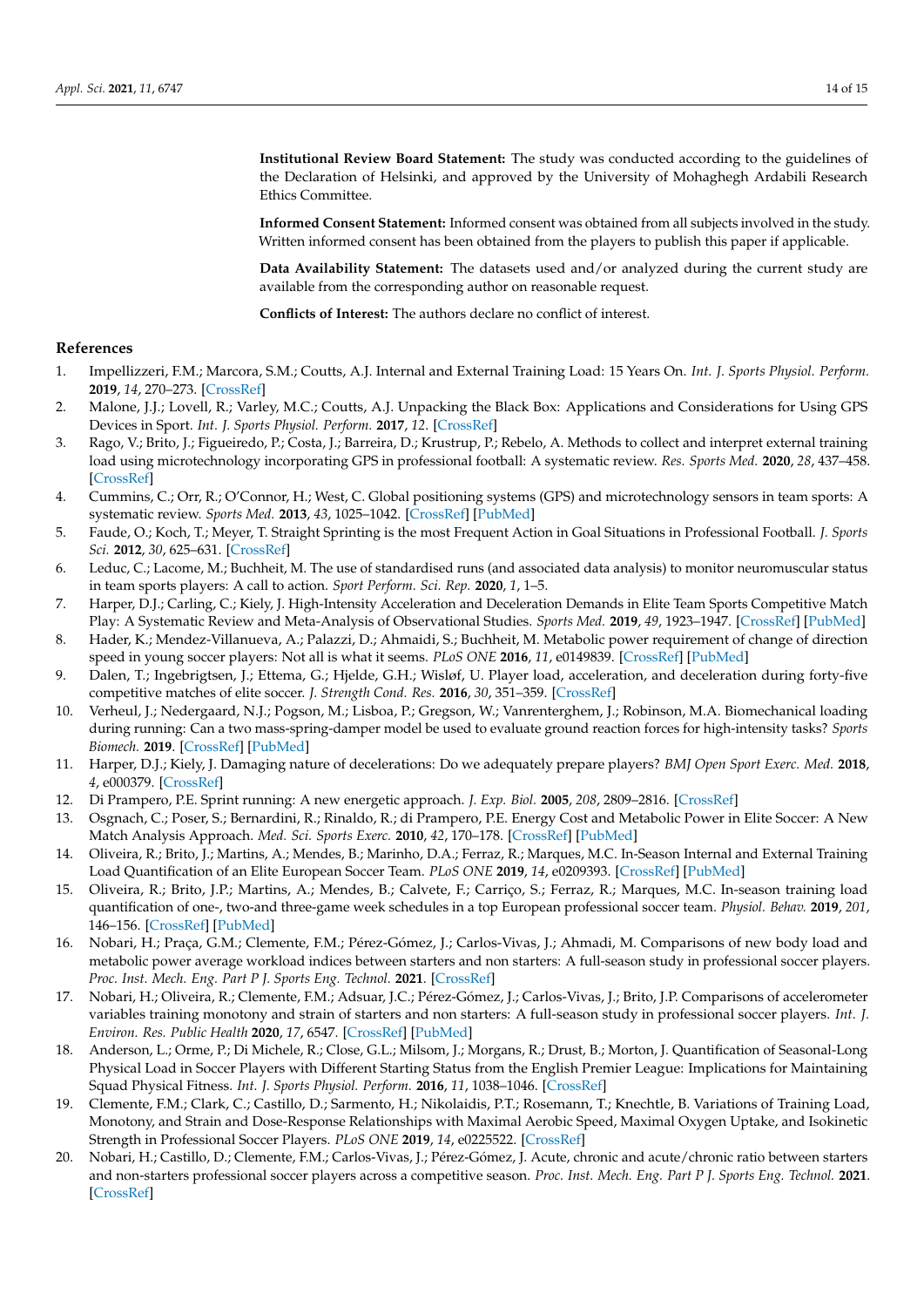**Institutional Review Board Statement:** The study was conducted according to the guidelines of the Declaration of Helsinki, and approved by the University of Mohaghegh Ardabili Research Ethics Committee.

**Informed Consent Statement:** Informed consent was obtained from all subjects involved in the study. Written informed consent has been obtained from the players to publish this paper if applicable.

**Data Availability Statement:** The datasets used and/or analyzed during the current study are available from the corresponding author on reasonable request.

**Conflicts of Interest:** The authors declare no conflict of interest.

## **References**

- <span id="page-13-0"></span>1. Impellizzeri, F.M.; Marcora, S.M.; Coutts, A.J. Internal and External Training Load: 15 Years On. *Int. J. Sports Physiol. Perform.* **2019**, *14*, 270–273. [\[CrossRef\]](http://doi.org/10.1123/ijspp.2018-0935)
- <span id="page-13-2"></span>2. Malone, J.J.; Lovell, R.; Varley, M.C.; Coutts, A.J. Unpacking the Black Box: Applications and Considerations for Using GPS Devices in Sport. *Int. J. Sports Physiol. Perform.* **2017**, *12*. [\[CrossRef\]](http://doi.org/10.1123/ijspp.2016-0236)
- <span id="page-13-1"></span>3. Rago, V.; Brito, J.; Figueiredo, P.; Costa, J.; Barreira, D.; Krustrup, P.; Rebelo, A. Methods to collect and interpret external training load using microtechnology incorporating GPS in professional football: A systematic review. *Res. Sports Med.* **2020**, *28*, 437–458. [\[CrossRef\]](http://doi.org/10.1080/15438627.2019.1686703)
- <span id="page-13-3"></span>4. Cummins, C.; Orr, R.; O'Connor, H.; West, C. Global positioning systems (GPS) and microtechnology sensors in team sports: A systematic review. *Sports Med.* **2013**, *43*, 1025–1042. [\[CrossRef\]](http://doi.org/10.1007/s40279-013-0069-2) [\[PubMed\]](http://www.ncbi.nlm.nih.gov/pubmed/23812857)
- <span id="page-13-4"></span>5. Faude, O.; Koch, T.; Meyer, T. Straight Sprinting is the most Frequent Action in Goal Situations in Professional Football. *J. Sports Sci.* **2012**, *30*, 625–631. [\[CrossRef\]](http://doi.org/10.1080/02640414.2012.665940)
- <span id="page-13-5"></span>6. Leduc, C.; Lacome, M.; Buchheit, M. The use of standardised runs (and associated data analysis) to monitor neuromuscular status in team sports players: A call to action. *Sport Perform. Sci. Rep.* **2020**, *1*, 1–5.
- <span id="page-13-6"></span>7. Harper, D.J.; Carling, C.; Kiely, J. High-Intensity Acceleration and Deceleration Demands in Elite Team Sports Competitive Match Play: A Systematic Review and Meta-Analysis of Observational Studies. *Sports Med.* **2019**, *49*, 1923–1947. [\[CrossRef\]](http://doi.org/10.1007/s40279-019-01170-1) [\[PubMed\]](http://www.ncbi.nlm.nih.gov/pubmed/31506901)
- <span id="page-13-7"></span>8. Hader, K.; Mendez-Villanueva, A.; Palazzi, D.; Ahmaidi, S.; Buchheit, M. Metabolic power requirement of change of direction speed in young soccer players: Not all is what it seems. *PLoS ONE* **2016**, *11*, e0149839. [\[CrossRef\]](http://doi.org/10.1371/journal.pone.0149839) [\[PubMed\]](http://www.ncbi.nlm.nih.gov/pubmed/26930649)
- <span id="page-13-8"></span>9. Dalen, T.; Ingebrigtsen, J.; Ettema, G.; Hjelde, G.H.; Wisløf, U. Player load, acceleration, and deceleration during forty-five competitive matches of elite soccer. *J. Strength Cond. Res.* **2016**, *30*, 351–359. [\[CrossRef\]](http://doi.org/10.1519/JSC.0000000000001063)
- <span id="page-13-9"></span>10. Verheul, J.; Nedergaard, N.J.; Pogson, M.; Lisboa, P.; Gregson, W.; Vanrenterghem, J.; Robinson, M.A. Biomechanical loading during running: Can a two mass-spring-damper model be used to evaluate ground reaction forces for high-intensity tasks? *Sports Biomech.* **2019**. [\[CrossRef\]](http://doi.org/10.1080/14763141.2019.1584238) [\[PubMed\]](http://www.ncbi.nlm.nih.gov/pubmed/31033415)
- <span id="page-13-10"></span>11. Harper, D.J.; Kiely, J. Damaging nature of decelerations: Do we adequately prepare players? *BMJ Open Sport Exerc. Med.* **2018**, *4*, e000379. [\[CrossRef\]](http://doi.org/10.1136/bmjsem-2018-000379)
- <span id="page-13-11"></span>12. Di Prampero, P.E. Sprint running: A new energetic approach. *J. Exp. Biol.* **2005**, *208*, 2809–2816. [\[CrossRef\]](http://doi.org/10.1242/jeb.01700)
- <span id="page-13-12"></span>13. Osgnach, C.; Poser, S.; Bernardini, R.; Rinaldo, R.; di Prampero, P.E. Energy Cost and Metabolic Power in Elite Soccer: A New Match Analysis Approach. *Med. Sci. Sports Exerc.* **2010**, *42*, 170–178. [\[CrossRef\]](http://doi.org/10.1249/MSS.0b013e3181ae5cfd) [\[PubMed\]](http://www.ncbi.nlm.nih.gov/pubmed/20010116)
- <span id="page-13-13"></span>14. Oliveira, R.; Brito, J.; Martins, A.; Mendes, B.; Marinho, D.A.; Ferraz, R.; Marques, M.C. In-Season Internal and External Training Load Quantification of an Elite European Soccer Team. *PLoS ONE* **2019**, *14*, e0209393. [\[CrossRef\]](http://doi.org/10.1371/journal.pone.0209393) [\[PubMed\]](http://www.ncbi.nlm.nih.gov/pubmed/31009464)
- <span id="page-13-14"></span>15. Oliveira, R.; Brito, J.P.; Martins, A.; Mendes, B.; Calvete, F.; Carriço, S.; Ferraz, R.; Marques, M.C. In-season training load quantification of one-, two-and three-game week schedules in a top European professional soccer team. *Physiol. Behav.* **2019**, *201*, 146–156. [\[CrossRef\]](http://doi.org/10.1016/j.physbeh.2018.11.036) [\[PubMed\]](http://www.ncbi.nlm.nih.gov/pubmed/30529511)
- <span id="page-13-15"></span>16. Nobari, H.; Praça, G.M.; Clemente, F.M.; Pérez-Gómez, J.; Carlos-Vivas, J.; Ahmadi, M. Comparisons of new body load and metabolic power average workload indices between starters and non starters: A full-season study in professional soccer players. *Proc. Inst. Mech. Eng. Part P J. Sports Eng. Technol.* **2021**. [\[CrossRef\]](http://doi.org/10.1177/1754337120974873)
- <span id="page-13-16"></span>17. Nobari, H.; Oliveira, R.; Clemente, F.M.; Adsuar, J.C.; Pérez-Gómez, J.; Carlos-Vivas, J.; Brito, J.P. Comparisons of accelerometer variables training monotony and strain of starters and non starters: A full-season study in professional soccer players. *Int. J. Environ. Res. Public Health* **2020**, *17*, 6547. [\[CrossRef\]](http://doi.org/10.3390/ijerph17186547) [\[PubMed\]](http://www.ncbi.nlm.nih.gov/pubmed/32916804)
- <span id="page-13-17"></span>18. Anderson, L.; Orme, P.; Di Michele, R.; Close, G.L.; Milsom, J.; Morgans, R.; Drust, B.; Morton, J. Quantification of Seasonal-Long Physical Load in Soccer Players with Different Starting Status from the English Premier League: Implications for Maintaining Squad Physical Fitness. *Int. J. Sports Physiol. Perform.* **2016**, *11*, 1038–1046. [\[CrossRef\]](http://doi.org/10.1123/ijspp.2015-0672)
- <span id="page-13-18"></span>19. Clemente, F.M.; Clark, C.; Castillo, D.; Sarmento, H.; Nikolaidis, P.T.; Rosemann, T.; Knechtle, B. Variations of Training Load, Monotony, and Strain and Dose-Response Relationships with Maximal Aerobic Speed, Maximal Oxygen Uptake, and Isokinetic Strength in Professional Soccer Players. *PLoS ONE* **2019**, *14*, e0225522. [\[CrossRef\]](http://doi.org/10.1371/journal.pone.0225522)
- <span id="page-13-19"></span>20. Nobari, H.; Castillo, D.; Clemente, F.M.; Carlos-Vivas, J.; Pérez-Gómez, J. Acute, chronic and acute/chronic ratio between starters and non-starters professional soccer players across a competitive season. *Proc. Inst. Mech. Eng. Part P J. Sports Eng. Technol.* **2021**. [\[CrossRef\]](http://doi.org/10.1177/17543371211016594)